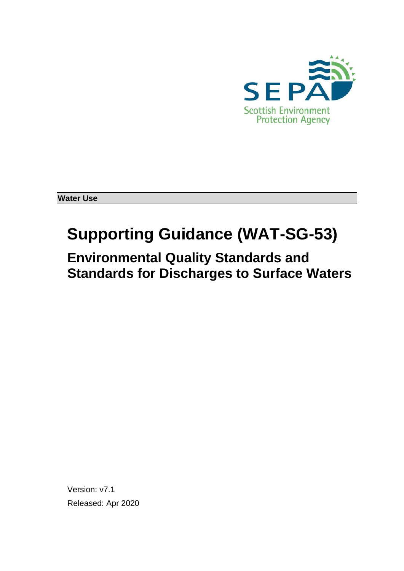

**Water Use**

# **Supporting Guidance (WAT-SG-53)**

**Environmental Quality Standards and Standards for Discharges to Surface Waters**

Version: v7.1 Released: Apr 2020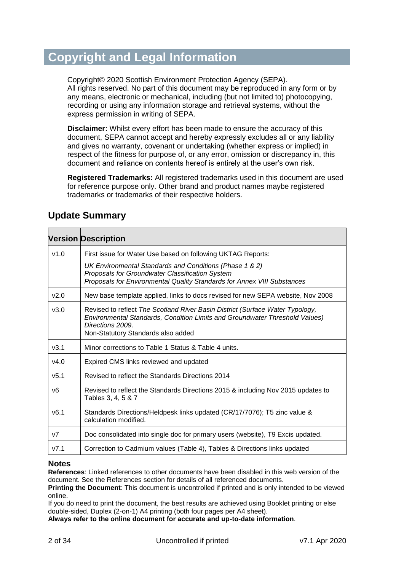## **Copyright and Legal Information**

Copyright© 2020 Scottish Environment Protection Agency (SEPA). All rights reserved. No part of this document may be reproduced in any form or by any means, electronic or mechanical, including (but not limited to) photocopying, recording or using any information storage and retrieval systems, without the express permission in writing of SEPA.

**Disclaimer:** Whilst every effort has been made to ensure the accuracy of this document, SEPA cannot accept and hereby expressly excludes all or any liability and gives no warranty, covenant or undertaking (whether express or implied) in respect of the fitness for purpose of, or any error, omission or discrepancy in, this document and reliance on contents hereof is entirely at the user's own risk.

**Registered Trademarks:** All registered trademarks used in this document are used for reference purpose only. Other brand and product names maybe registered trademarks or trademarks of their respective holders.

|                | <b>Version Description</b>                                                                                                                                                                                             |
|----------------|------------------------------------------------------------------------------------------------------------------------------------------------------------------------------------------------------------------------|
| v1.0           | First issue for Water Use based on following UKTAG Reports:                                                                                                                                                            |
|                | UK Environmental Standards and Conditions (Phase 1 & 2)<br>Proposals for Groundwater Classification System<br>Proposals for Environmental Quality Standards for Annex VIII Substances                                  |
| v2.0           | New base template applied, links to docs revised for new SEPA website, Nov 2008                                                                                                                                        |
| v3.0           | Revised to reflect The Scotland River Basin District (Surface Water Typology,<br>Environmental Standards, Condition Limits and Groundwater Threshold Values)<br>Directions 2009.<br>Non-Statutory Standards also added |
| v3.1           | Minor corrections to Table 1 Status & Table 4 units.                                                                                                                                                                   |
| v4.0           | Expired CMS links reviewed and updated                                                                                                                                                                                 |
| v5.1           | Revised to reflect the Standards Directions 2014                                                                                                                                                                       |
| v6             | Revised to reflect the Standards Directions 2015 & including Nov 2015 updates to<br>Tables 3, 4, 5 & 7                                                                                                                 |
| v6.1           | Standards Directions/Heldpesk links updated (CR/17/7076); T5 zinc value &<br>calculation modified.                                                                                                                     |
| V <sub>7</sub> | Doc consolidated into single doc for primary users (website), T9 Excis updated.                                                                                                                                        |
| V7.1           | Correction to Cadmium values (Table 4), Tables & Directions links updated                                                                                                                                              |

#### **Update Summary**

#### **Notes**

**References**: Linked references to other documents have been disabled in this web version of the document. See the References section for details of all referenced documents.

**Printing the Document**: This document is uncontrolled if printed and is only intended to be viewed online.

If you do need to print the document, the best results are achieved using Booklet printing or else double-sided, Duplex (2-on-1) A4 printing (both four pages per A4 sheet).

**Always refer to the online document for accurate and up-to-date information**.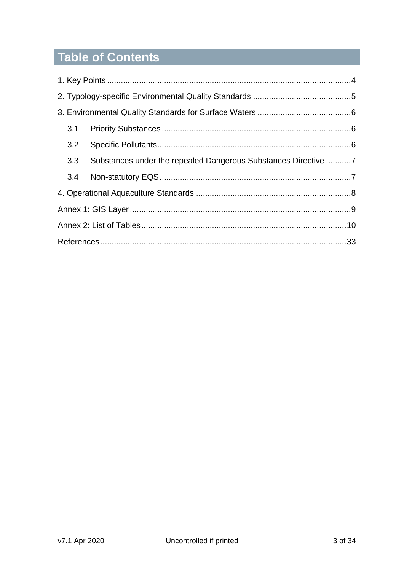# Table of Contents

| 3.3 Substances under the repealed Dangerous Substances Directive 7 |  |
|--------------------------------------------------------------------|--|
|                                                                    |  |
|                                                                    |  |
|                                                                    |  |
|                                                                    |  |
|                                                                    |  |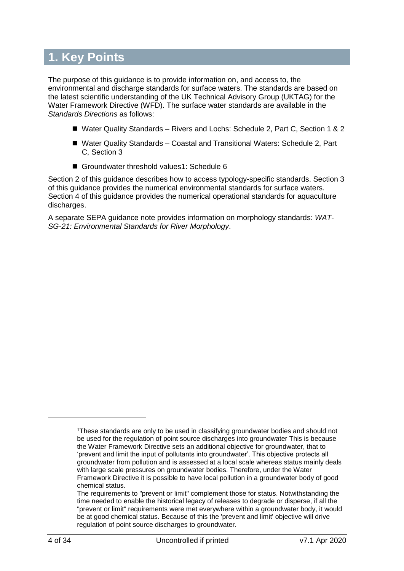# <span id="page-3-0"></span>**1. Key Points**

The purpose of this guidance is to provide information on, and access to, the environmental and discharge standards for surface waters. The standards are based on the latest scientific understanding of the UK Technical Advisory Group (UKTAG) for the Water Framework Directive (WFD). The surface water standards are available in the *[Standards Directions](http://intranet/regulatory-services/national-regulatory-services/river-basin-management-planning/supporting-information/environmental-standards/)* as follows:

- Water Quality Standards Rivers and Lochs: Schedule 2, Part C, Section 1 & 2
- Water Quality Standards Coastal and Transitional Waters: Schedule 2, Part C, Section 3
- Groundwater threshold values1: Schedule 6

Section 2 of this guidance describes how to access typology-specific standards. Section 3 of this guidance provides the numerical environmental standards for surface waters. Section 4 of this guidance provides the numerical operational standards for aquaculture discharges.

A separate SEPA guidance note provides information on morphology standards: *[WAT-](http://stir-app-qpl01/QPulseDocumentService/Documents.svc/documents/active/attachment?number=WAT-SG-21)[SG-21: Environmental Standards for River Morphology](http://stir-app-qpl01/QPulseDocumentService/Documents.svc/documents/active/attachment?number=WAT-SG-21)*.

l

<sup>1</sup>These standards are only to be used in classifying groundwater bodies and should not be used for the regulation of point source discharges into groundwater This is because the Water Framework Directive sets an additional objective for groundwater, that to 'prevent and limit the input of pollutants into groundwater'. This objective protects all groundwater from pollution and is assessed at a local scale whereas status mainly deals with large scale pressures on groundwater bodies. Therefore, under the Water Framework Directive it is possible to have local pollution in a groundwater body of good chemical status.

The requirements to "prevent or limit" complement those for status. Notwithstanding the time needed to enable the historical legacy of releases to degrade or disperse, if all the "prevent or limit" requirements were met everywhere within a groundwater body, it would be at good chemical status. Because of this the 'prevent and limit' objective will drive regulation of point source discharges to groundwater.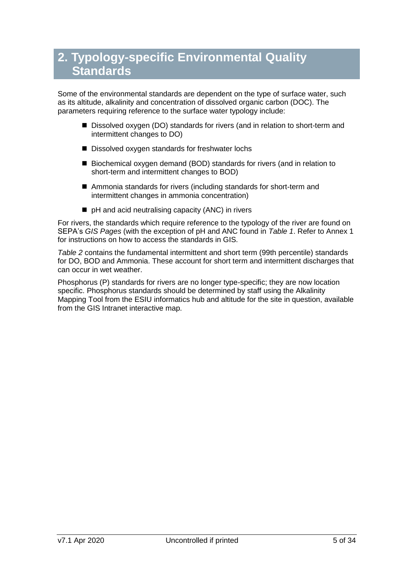# <span id="page-4-0"></span>**2. Typology-specific Environmental Quality Standards**

Some of the environmental standards are dependent on the type of surface water, such as its altitude, alkalinity and concentration of dissolved organic carbon (DOC). The parameters requiring reference to the surface water typology include:

- Dissolved oxygen (DO) standards for rivers (and in relation to short-term and intermittent changes to DO)
- Dissolved oxygen standards for freshwater lochs
- Biochemical oxygen demand (BOD) standards for rivers (and in relation to short-term and intermittent changes to BOD)
- Ammonia standards for rivers (including standards for short-term and intermittent changes in ammonia concentration)
- pH and acid neutralising capacity (ANC) in rivers

For rivers, the standards which require reference to the typology of the river are found on SEPA's *[GIS Pages](http://sepa-app-gis01/interactivemap/map.htm)* (with the exception of pH and ANC found in *[Table 1](#page-10-0)*. Refer to Annex 1 for instructions on how to access the standards in GIS.

*[Table 2](#page-10-1)* contains the fundamental intermittent and short term (99th percentile) standards for DO, BOD and Ammonia. These account for short term and intermittent discharges that can occur in wet weather.

Phosphorus (P) standards for rivers are no longer type-specific; they are now location specific. Phosphorus standards should be determined by staff using the Alkalinity Mapping Tool from the ESIU informatics hub and altitude for the site in question, available from the GIS Intranet interactive map.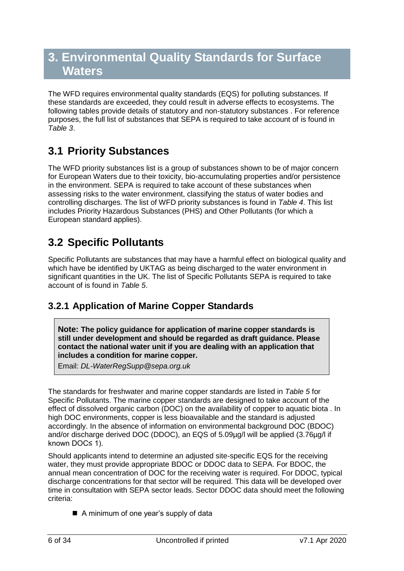# <span id="page-5-0"></span>**3. Environmental Quality Standards for Surface Waters**

The WFD requires environmental quality standards (EQS) for polluting substances. If these standards are exceeded, they could result in adverse effects to ecosystems. The following tables provide details of statutory and non-statutory substances . For reference purposes, the full list of substances that SEPA is required to take account of is found in *[Table 3](#page-13-0)*.

## <span id="page-5-1"></span>**3.1 Priority Substances**

The WFD priority substances list is a group of substances shown to be of major concern for European Waters due to their toxicity, bio-accumulating properties and/or persistence in the environment. SEPA is required to take account of these substances when assessing risks to the water environment, classifying the status of water bodies and controlling discharges. The list of WFD priority substances is found in *[Table 4](#page-19-0)*. This list includes Priority Hazardous Substances (PHS) and Other Pollutants (for which a European standard applies).

## <span id="page-5-2"></span>**3.2 Specific Pollutants**

Specific Pollutants are substances that may have a harmful effect on biological quality and which have be identified by UKTAG as being discharged to the water environment in significant quantities in the UK. The list of Specific Pollutants SEPA is required to take account of is found in *[Table 5](#page-23-0)*.

### **3.2.1 Application of Marine Copper Standards**

**Note: The policy guidance for application of marine copper standards is still under development and should be regarded as draft guidance. Please contact the national water unit if you are dealing with an application that includes a condition for marine copper.**

Email: *[DL-WaterRegSupp@sepa.org.uk](mailto:DL-WaterRegSupp@sepa.org.uk)*

The standards for freshwater and marine copper standards are listed in *[Table 5](#page-23-0)* for Specific Pollutants. The marine copper standards are designed to take account of the effect of dissolved organic carbon (DOC) on the availability of copper to aquatic biota . In high DOC environments, copper is less bioavailable and the standard is adjusted accordingly. In the absence of information on environmental background DOC (BDOC) and/or discharge derived DOC (DDOC), an EQS of 5.09µg/l will be applied (3.76µg/l if known DOC≤ 1).

Should applicants intend to determine an adjusted site-specific EQS for the receiving water, they must provide appropriate BDOC or DDOC data to SEPA. For BDOC, the annual mean concentration of DOC for the receiving water is required. For DDOC, typical discharge concentrations for that sector will be required. This data will be developed over time in consultation with SEPA sector leads. Sector DDOC data should meet the following criteria:

■ A minimum of one year's supply of data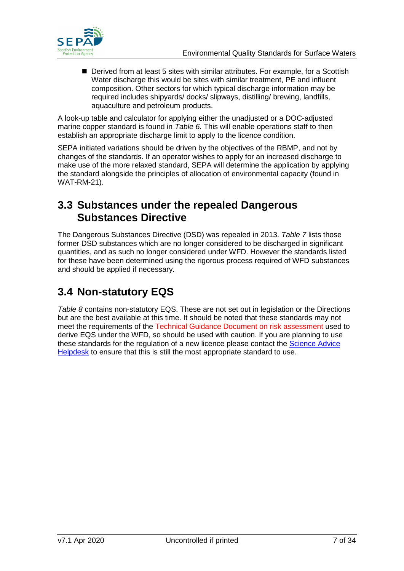

■ Derived from at least 5 sites with similar attributes. For example, for a Scottish Water discharge this would be sites with similar treatment, PE and influent composition. Other sectors for which typical discharge information may be required includes shipyards/ docks/ slipways, distilling/ brewing, landfills, aquaculture and petroleum products.

A look-up table and calculator for applying either the unadjusted or a DOC-adjusted marine copper standard is found in *[Table 6](#page-25-0)*. This will enable operations staff to then establish an appropriate discharge limit to apply to the licence condition.

SEPA initiated variations should be driven by the objectives of the RBMP, and not by changes of the standards. If an operator wishes to apply for an increased discharge to make use of the more relaxed standard, SEPA will determine the application by applying the standard alongside the principles of allocation of environmental capacity (found in WAT-RM-21).

### <span id="page-6-0"></span>**3.3 Substances under the repealed Dangerous Substances Directive**

The Dangerous Substances Directive (DSD) was repealed in 2013. *[Table 7](#page-26-0)* lists those former DSD substances which are no longer considered to be discharged in significant quantities, and as such no longer considered under WFD. However the standards listed for these have been determined using the rigorous process required of WFD substances and should be applied if necessary.

### <span id="page-6-1"></span>**3.4 Non-statutory EQS**

*[Table 8](#page-27-0)* contains non-statutory EQS. These are not set out in legislation or the Directions but are the best available at this time. It should be noted that these standards may not meet the requirements of the Technical Guidance Document on risk assessment used to derive EQS under the WFD, so should be used with caution. If you are planning to use these standards for the regulation of a new licence please contact the [Science Advice](mailto:science.advice@sepa.org.uk?subject=Env%20Standards%20query)  [Helpdesk](mailto:science.advice@sepa.org.uk?subject=Env%20Standards%20query) to ensure that this is still the most appropriate standard to use.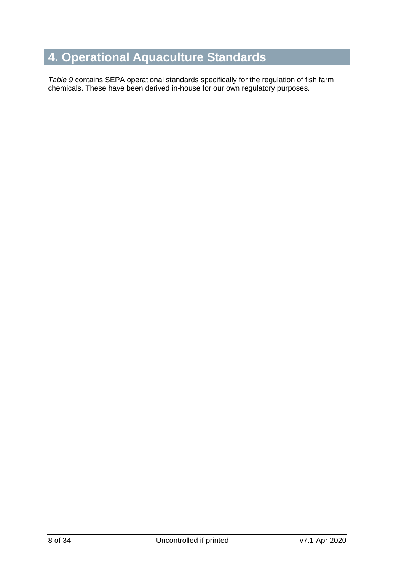# <span id="page-7-0"></span>**4. Operational Aquaculture Standards**

*[Table 9](#page-30-0)* contains SEPA operational standards specifically for the regulation of fish farm chemicals. These have been derived in-house for our own regulatory purposes.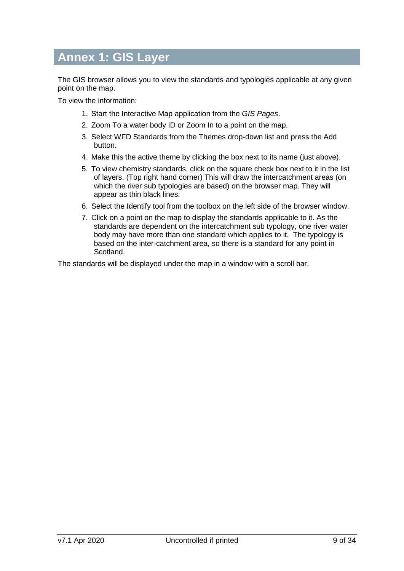# <span id="page-8-0"></span>**Annex 1: GIS Layer**

The GIS browser allows you to view the standards and typologies applicable at any given point on the map.

To view the information:

- 1. Start the Interactive Map application from the *[GIS Pages](http://sepa-app-gis01/interactivemap/map.htm)*.
- 2. Zoom To a water body ID or Zoom In to a point on the map.
- 3. Select WFD Standards from the Themes drop-down list and press the Add button.
- 4. Make this the active theme by clicking the box next to its name (just above).
- 5. To view chemistry standards, click on the square check box next to it in the list of layers. (Top right hand corner) This will draw the intercatchment areas (on which the river sub typologies are based) on the browser map. They will appear as thin black lines.
- 6. Select the Identify tool from the toolbox on the left side of the browser window.
- 7. Click on a point on the map to display the standards applicable to it. As the standards are dependent on the intercatchment sub typology, one river water body may have more than one standard which applies to it. The typology is based on the inter-catchment area, so there is a standard for any point in Scotland.

The standards will be displayed under the map in a window with a scroll bar.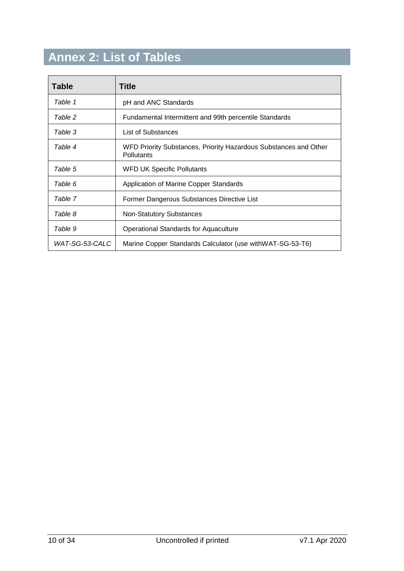# <span id="page-9-0"></span>**Annex 2: List of Tables**

| Table          | Title                                                                          |
|----------------|--------------------------------------------------------------------------------|
| Table 1        | pH and ANC Standards                                                           |
| Table 2        | Fundamental Intermittent and 99th percentile Standards                         |
| Table 3        | List of Substances                                                             |
| Table 4        | WFD Priority Substances, Priority Hazardous Substances and Other<br>Pollutants |
| Table 5        | <b>WFD UK Specific Pollutants</b>                                              |
| Table 6        | Application of Marine Copper Standards                                         |
| Table 7        | Former Dangerous Substances Directive List                                     |
| Table 8        | <b>Non-Statutory Substances</b>                                                |
| Table 9        | <b>Operational Standards for Aquaculture</b>                                   |
| WAT-SG-53-CALC | Marine Copper Standards Calculator (use with WAT-SG-53-T6)                     |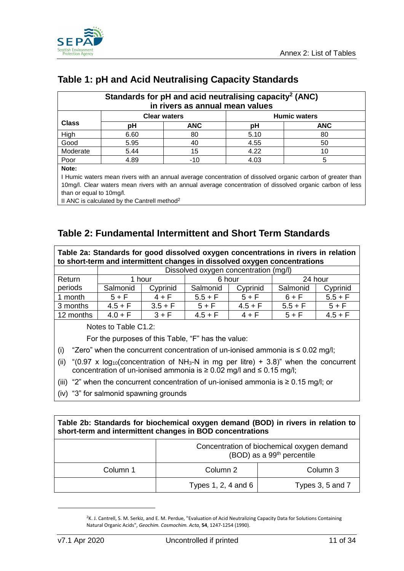

### <span id="page-10-0"></span>**Table 1: pH and Acid Neutralising Capacity Standards**

| Standards for pH and acid neutralising capacity <sup>2</sup> (ANC)<br>in rivers as annual mean values |      |            |      |            |  |  |  |
|-------------------------------------------------------------------------------------------------------|------|------------|------|------------|--|--|--|
| <b>Humic waters</b><br><b>Clear waters</b>                                                            |      |            |      |            |  |  |  |
| <b>Class</b>                                                                                          | pН   | <b>ANC</b> | рH   | <b>ANC</b> |  |  |  |
| High                                                                                                  | 6.60 | 80         | 5.10 | 80         |  |  |  |
| Good                                                                                                  | 5.95 | 40         | 4.55 | 50         |  |  |  |
| Moderate                                                                                              | 5.44 | 15         | 4.22 | 10         |  |  |  |
| Poor<br>4.89<br>5<br>4.03<br>$-10$                                                                    |      |            |      |            |  |  |  |
| Note:                                                                                                 |      |            |      |            |  |  |  |

I Humic waters mean rivers with an annual average concentration of dissolved organic carbon of greater than 10mg/l. Clear waters mean rivers with an annual average concentration of dissolved organic carbon of less than or equal to 10mg/l.

II ANC is calculated by the Cantrell method<sup>2</sup>

#### <span id="page-10-1"></span>**Table 2: Fundamental Intermittent and Short Term Standards**

| Table 2a: Standards for good dissolved oxygen concentrations in rivers in relation<br>to short-term and intermittent changes in dissolved oxygen concentrations |                      |           |                                       |           |           |           |  |
|-----------------------------------------------------------------------------------------------------------------------------------------------------------------|----------------------|-----------|---------------------------------------|-----------|-----------|-----------|--|
|                                                                                                                                                                 |                      |           | Dissolved oxygen concentration (mg/l) |           |           |           |  |
| Return                                                                                                                                                          |                      | 1 hour    | 6 hour                                |           | 24 hour   |           |  |
| periods                                                                                                                                                         | Salmonid             | Cyprinid  | Salmonid                              | Cyprinid  | Salmonid  | Cyprinid  |  |
| 1 month                                                                                                                                                         | $5 + F$              | $4 + F$   | $5.5 + F$                             | $5 + F$   | $6 + F$   | $5.5 + F$ |  |
| 3 months                                                                                                                                                        | $4.5 + F$            | $3.5 + F$ | $5 + F$                               | $4.5 + F$ | $5.5 + F$ | $5 + F$   |  |
| 12 months                                                                                                                                                       | $4.0 + F$            | $3 + F$   | $4.5 + F$                             | $4 + F$   | $5 + F$   | $4.5 + F$ |  |
|                                                                                                                                                                 | Notes to Table C1.2: |           |                                       |           |           |           |  |

For the purposes of this Table, "F" has the value:

- (i) "Zero" when the concurrent concentration of un-ionised ammonia is  $\leq 0.02$  mg/l;
- (ii) "(0.97 x log<sub>10</sub>(concentration of NH<sub>3</sub>-N in mg per litre) + 3.8)" when the concurrent concentration of un-ionised ammonia is  $\geq 0.02$  mg/l and  $\leq 0.15$  mg/l;
- (iii) "2" when the concurrent concentration of un-ionised ammonia is  $\geq 0.15$  mg/l; or
- (iv) "3" for salmonid spawning grounds

| Table 2b: Standards for biochemical oxygen demand (BOD) in rivers in relation to |  |  |  |  |  |  |  |  |
|----------------------------------------------------------------------------------|--|--|--|--|--|--|--|--|
| short-term and intermittent changes in BOD concentrations                        |  |  |  |  |  |  |  |  |
|                                                                                  |  |  |  |  |  |  |  |  |

|          | Concentration of biochemical oxygen demand<br>(BOD) as a 99 <sup>th</sup> percentile |                  |  |  |
|----------|--------------------------------------------------------------------------------------|------------------|--|--|
| Column 1 | Column 2                                                                             | Column 3         |  |  |
|          | Types 1, 2, 4 and 6                                                                  | Types 3, 5 and 7 |  |  |

<sup>&</sup>lt;sup>2</sup>K. J. Cantrell, S. M. Serkiz, and E. M. Perdue, "Evaluation of Acid Neutralizing Capacity Data for Solutions Containing Natural Organic Acids", *Geochim. Cosmochim. Acta*, **54**, 1247-1254 (1990).

-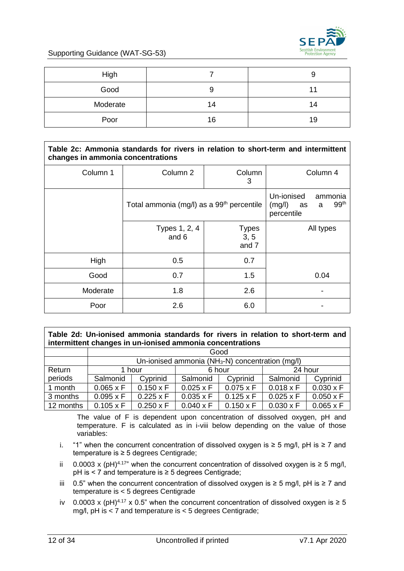

| High     |    |    |
|----------|----|----|
| Good     | 9  |    |
| Moderate | 14 | 14 |
| Poor     | 16 | 19 |

#### **Table 2c: Ammonia standards for rivers in relation to short-term and intermittent changes in ammonia concentrations**

| Column 1 | Column <sub>2</sub>                                   | Column<br>3                   | Column 4                                                                     |  |
|----------|-------------------------------------------------------|-------------------------------|------------------------------------------------------------------------------|--|
|          | Total ammonia (mg/l) as a 99 <sup>th</sup> percentile |                               | Un-ionised<br>ammonia<br>99 <sup>th</sup><br>(mg/l)<br>a<br>as<br>percentile |  |
|          | Types 1, 2, 4<br>and 6                                | <b>Types</b><br>3, 5<br>and 7 | All types                                                                    |  |
| High     | 0.5                                                   | 0.7                           |                                                                              |  |
| Good     | 0.7                                                   | 1.5                           | 0.04                                                                         |  |
| Moderate | 1.8                                                   | 2.6                           |                                                                              |  |
| Poor     | 2.6                                                   | 6.0                           |                                                                              |  |

**Table 2d: Un-ionised ammonia standards for rivers in relation to short-term and intermittent changes in un-ionised ammonia concentrations**

|           | Good                        |                                                     |                  |                  |                  |                  |  |
|-----------|-----------------------------|-----------------------------------------------------|------------------|------------------|------------------|------------------|--|
|           |                             | Un-ionised ammonia ( $NH3-N$ ) concentration (mg/l) |                  |                  |                  |                  |  |
| Return    | 24 hour<br>6 hour<br>1 hour |                                                     |                  |                  |                  |                  |  |
| periods   | Salmonid                    | Cyprinid                                            | Salmonid         | Cyprinid         | Salmonid         | Cyprinid         |  |
| 1 month   | $0.065 \times F$            | $0.150 \times F$                                    | $0.025 \times F$ | $0.075 \times F$ | $0.018 \times F$ | $0.030 \times F$ |  |
| 3 months  | $0.095 \times F$            | $0.225 \times F$                                    | $0.035 \times F$ | $0.125 \times F$ | $0.025 \times F$ | $0.050 \times F$ |  |
| 12 months | $0.105 \times F$            | $0.250 \times F$                                    | $0.040 \times F$ | $0.150 \times F$ | $0.030 \times F$ | $0.065 \times F$ |  |

The value of F is dependent upon concentration of dissolved oxygen, pH and temperature. F is calculated as in i-viii below depending on the value of those variables:

- i. "1" when the concurrent concentration of dissolved oxygen is ≥ 5 mg/l, pH is ≥ 7 and temperature is ≥ 5 degrees Centigrade;
- ii 0.0003 x (pH)<sup>4.17"</sup> when the concurrent concentration of dissolved oxygen is ≥ 5 mg/l, pH is < 7 and temperature is ≥ 5 degrees Centigrade;
- iii 0.5" when the concurrent concentration of dissolved oxygen is ≥ 5 mg/l, pH is ≥ 7 and temperature is < 5 degrees Centigrade
- iv 0.0003 x (pH)<sup>4.17</sup> x 0.5" when the concurrent concentration of dissolved oxygen is  $\geq 5$ mg/l, pH is < 7 and temperature is < 5 degrees Centigrade;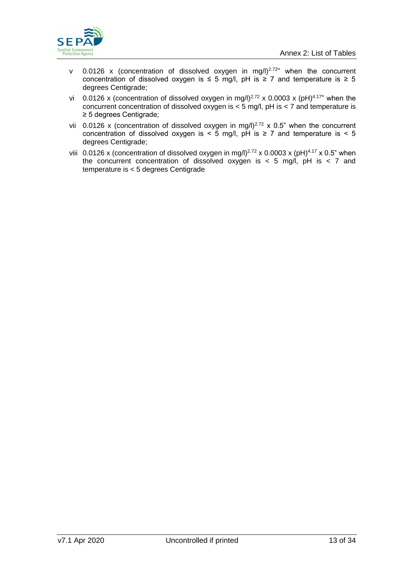

- v 0.0126 x (concentration of dissolved oxygen in mg/l)<sup>2.72"</sup> when the concurrent concentration of dissolved oxygen is  $\leq$  5 mg/l, pH is  $\geq$  7 and temperature is  $\geq$  5 degrees Centigrade;
- vi 0.0126 x (concentration of dissolved oxygen in mg/l)<sup>2.72</sup> x 0.0003 x (pH)<sup>4.17</sup>" when the concurrent concentration of dissolved oxygen is < 5 mg/l, pH is < 7 and temperature is ≥ 5 degrees Centigrade;
- vii 0.0126 x (concentration of dissolved oxygen in mg/l)<sup>2.72</sup> x 0.5" when the concurrent concentration of dissolved oxygen is  $\lt 5$  mg/l, pH is  $\ge 7$  and temperature is  $\lt 5$ degrees Centigrade;
- viii 0.0126 x (concentration of dissolved oxygen in mg/l)<sup>2.72</sup> x 0.0003 x (pH)<sup>4.17</sup> x 0.5" when the concurrent concentration of dissolved oxygen is  $<$  5 mg/l, pH is  $<$  7 and temperature is < 5 degrees Centigrade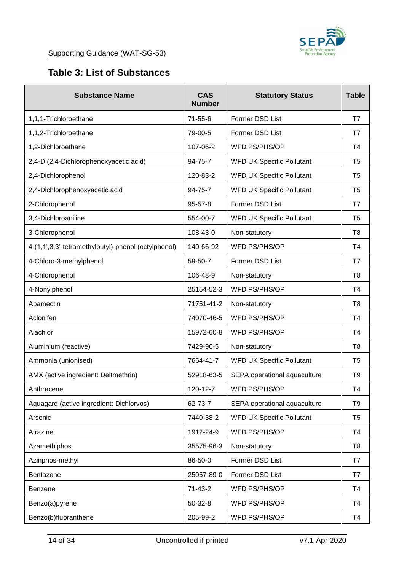

### <span id="page-13-0"></span>**Table 3: List of Substances**

| <b>Substance Name</b>                               | <b>CAS</b><br><b>Number</b> | <b>Statutory Status</b>          | <b>Table</b>   |
|-----------------------------------------------------|-----------------------------|----------------------------------|----------------|
| 1,1,1-Trichloroethane                               | 71-55-6                     | Former DSD List                  | T7             |
| 1,1,2-Trichloroethane                               | 79-00-5                     | Former DSD List                  | T7             |
| 1,2-Dichloroethane                                  | 107-06-2                    | WFD PS/PHS/OP                    | T4             |
| 2,4-D (2,4-Dichlorophenoxyacetic acid)              | 94-75-7                     | <b>WFD UK Specific Pollutant</b> | T <sub>5</sub> |
| 2,4-Dichlorophenol                                  | 120-83-2                    | <b>WFD UK Specific Pollutant</b> | T <sub>5</sub> |
| 2,4-Dichlorophenoxyacetic acid                      | 94-75-7                     | <b>WFD UK Specific Pollutant</b> | T <sub>5</sub> |
| 2-Chlorophenol                                      | $95 - 57 - 8$               | Former DSD List                  | T7             |
| 3,4-Dichloroaniline                                 | 554-00-7                    | <b>WFD UK Specific Pollutant</b> | T <sub>5</sub> |
| 3-Chlorophenol                                      | 108-43-0                    | Non-statutory                    | T8             |
| 4-(1,1',3,3'-tetramethylbutyl)-phenol (octylphenol) | 140-66-92                   | WFD PS/PHS/OP                    | <b>T4</b>      |
| 4-Chloro-3-methylphenol                             | 59-50-7                     | Former DSD List                  | T7             |
| 4-Chlorophenol                                      | 106-48-9                    | Non-statutory                    | T8             |
| 4-Nonylphenol                                       | 25154-52-3                  | WFD PS/PHS/OP                    | <b>T4</b>      |
| Abamectin                                           | 71751-41-2                  | Non-statutory                    | T <sub>8</sub> |
| Aclonifen                                           | 74070-46-5                  | WFD PS/PHS/OP                    | T4             |
| Alachlor                                            | 15972-60-8                  | WFD PS/PHS/OP                    | T4             |
| Aluminium (reactive)                                | 7429-90-5                   | Non-statutory                    | T <sub>8</sub> |
| Ammonia (unionised)                                 | 7664-41-7                   | <b>WFD UK Specific Pollutant</b> | T <sub>5</sub> |
| AMX (active ingredient: Deltmethrin)                | 52918-63-5                  | SEPA operational aquaculture     | T9             |
| Anthracene                                          | 120-12-7                    | WFD PS/PHS/OP                    | T <sub>4</sub> |
| Aquagard (active ingredient: Dichlorvos)            | 62-73-7                     | SEPA operational aquaculture     | T <sub>9</sub> |
| Arsenic                                             | 7440-38-2                   | <b>WFD UK Specific Pollutant</b> | T <sub>5</sub> |
| Atrazine                                            | 1912-24-9                   | WFD PS/PHS/OP                    | T <sub>4</sub> |
| Azamethiphos                                        | 35575-96-3                  | Non-statutory                    | T <sub>8</sub> |
| Azinphos-methyl                                     | 86-50-0                     | Former DSD List                  | T7             |
| Bentazone                                           | 25057-89-0                  | Former DSD List                  | T7             |
| <b>Benzene</b>                                      | $71 - 43 - 2$               | WFD PS/PHS/OP                    | T <sub>4</sub> |
| Benzo(a)pyrene                                      | $50 - 32 - 8$               | WFD PS/PHS/OP                    | T <sub>4</sub> |
| Benzo(b)fluoranthene                                | 205-99-2                    | WFD PS/PHS/OP                    | T <sub>4</sub> |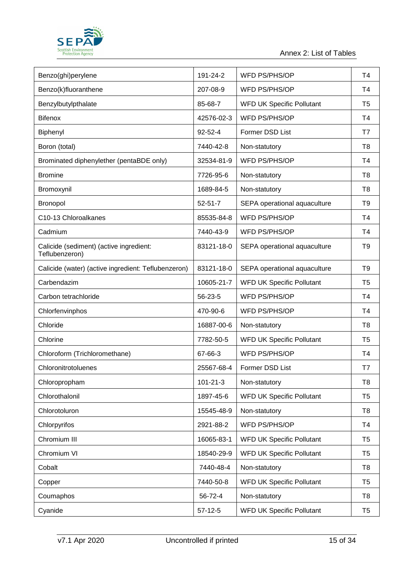

| Benzo(ghi)perylene                                        | 191-24-2       | WFD PS/PHS/OP                    | T <sub>4</sub> |
|-----------------------------------------------------------|----------------|----------------------------------|----------------|
| Benzo(k)fluoranthene                                      | 207-08-9       | WFD PS/PHS/OP                    | T4             |
| Benzylbutylpthalate                                       | 85-68-7        | <b>WFD UK Specific Pollutant</b> | T <sub>5</sub> |
| <b>Bifenox</b>                                            | 42576-02-3     | WFD PS/PHS/OP                    | T4             |
| Biphenyl                                                  | 92-52-4        | Former DSD List                  | T7             |
| Boron (total)                                             | 7440-42-8      | Non-statutory                    | T <sub>8</sub> |
| Brominated diphenylether (pentaBDE only)                  | 32534-81-9     | WFD PS/PHS/OP                    | T <sub>4</sub> |
| <b>Bromine</b>                                            | 7726-95-6      | Non-statutory                    | T <sub>8</sub> |
| Bromoxynil                                                | 1689-84-5      | Non-statutory                    | T <sub>8</sub> |
| Bronopol                                                  | $52 - 51 - 7$  | SEPA operational aquaculture     | T <sub>9</sub> |
| C10-13 Chloroalkanes                                      | 85535-84-8     | WFD PS/PHS/OP                    | T <sub>4</sub> |
| Cadmium                                                   | 7440-43-9      | WFD PS/PHS/OP                    | T <sub>4</sub> |
| Calicide (sediment) (active ingredient:<br>Teflubenzeron) | 83121-18-0     | SEPA operational aquaculture     | T <sub>9</sub> |
| Calicide (water) (active ingredient: Teflubenzeron)       | 83121-18-0     | SEPA operational aquaculture     | T <sub>9</sub> |
| Carbendazim                                               | 10605-21-7     | <b>WFD UK Specific Pollutant</b> | T <sub>5</sub> |
| Carbon tetrachloride                                      | 56-23-5        | WFD PS/PHS/OP                    | T <sub>4</sub> |
| Chlorfenvinphos                                           | 470-90-6       | WFD PS/PHS/OP                    | T <sub>4</sub> |
| Chloride                                                  | 16887-00-6     | Non-statutory                    | T <sub>8</sub> |
| Chlorine                                                  | 7782-50-5      | <b>WFD UK Specific Pollutant</b> | T <sub>5</sub> |
| Chloroform (Trichloromethane)                             | 67-66-3        | WFD PS/PHS/OP                    | T4             |
| Chloronitrotoluenes                                       | 25567-68-4     | Former DSD List                  | T7             |
| Chloropropham                                             | $101 - 21 - 3$ | Non-statutory                    | T <sub>8</sub> |
| Chlorothalonil                                            | 1897-45-6      | <b>WFD UK Specific Pollutant</b> | T <sub>5</sub> |
| Chlorotoluron                                             | 15545-48-9     | Non-statutory                    | T <sub>8</sub> |
| Chlorpyrifos                                              | 2921-88-2      | WFD PS/PHS/OP                    | T <sub>4</sub> |
| Chromium III                                              | 16065-83-1     | <b>WFD UK Specific Pollutant</b> | T <sub>5</sub> |
| Chromium VI                                               | 18540-29-9     | <b>WFD UK Specific Pollutant</b> | T <sub>5</sub> |
| Cobalt                                                    | 7440-48-4      | Non-statutory                    | T <sub>8</sub> |
| Copper                                                    | 7440-50-8      | <b>WFD UK Specific Pollutant</b> | T <sub>5</sub> |
| Coumaphos                                                 | 56-72-4        | Non-statutory                    | T <sub>8</sub> |
| Cyanide                                                   | $57-12-5$      | <b>WFD UK Specific Pollutant</b> | T <sub>5</sub> |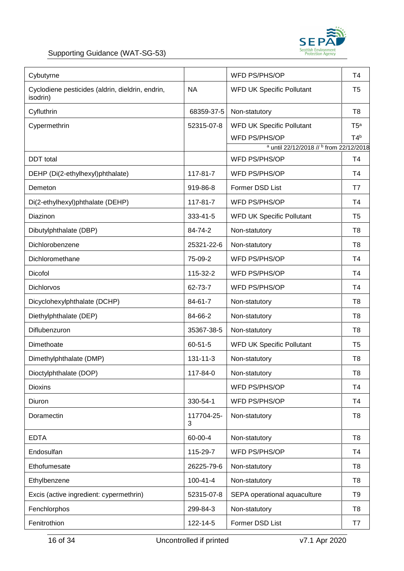

| Cybutyrne                                                    |                 | WFD PS/PHS/OP                           | T <sub>4</sub>       |
|--------------------------------------------------------------|-----------------|-----------------------------------------|----------------------|
| Cyclodiene pesticides (aldrin, dieldrin, endrin,<br>isodrin) | <b>NA</b>       | <b>WFD UK Specific Pollutant</b>        | T <sub>5</sub>       |
| Cyfluthrin                                                   | 68359-37-5      | Non-statutory                           | T <sub>8</sub>       |
| Cypermethrin                                                 | 52315-07-8      | <b>WFD UK Specific Pollutant</b>        | T5 <sup>a</sup>      |
|                                                              |                 | WFD PS/PHS/OP                           | T4 <sup>b</sup>      |
|                                                              |                 | a until 22/12/2018 // b from 22/12/2018 |                      |
| <b>DDT</b> total<br>DEHP (Di(2-ethylhexyl)phthalate)         | 117-81-7        | WFD PS/PHS/OP<br>WFD PS/PHS/OP          | T <sub>4</sub><br>T4 |
|                                                              |                 |                                         |                      |
| Demeton                                                      | 919-86-8        | Former DSD List                         | T7                   |
| Di(2-ethylhexyl)phthalate (DEHP)                             | 117-81-7        | <b>WFD PS/PHS/OP</b>                    | T4                   |
| Diazinon                                                     | 333-41-5        | <b>WFD UK Specific Pollutant</b>        | T <sub>5</sub>       |
| Dibutylphthalate (DBP)                                       | 84-74-2         | Non-statutory                           | T <sub>8</sub>       |
| Dichlorobenzene                                              | 25321-22-6      | Non-statutory                           | T <sub>8</sub>       |
| Dichloromethane                                              | 75-09-2         | WFD PS/PHS/OP                           | T4                   |
| Dicofol                                                      | 115-32-2        | WFD PS/PHS/OP                           | T <sub>4</sub>       |
| <b>Dichlorvos</b>                                            | 62-73-7         | WFD PS/PHS/OP                           | T4                   |
| Dicyclohexylphthalate (DCHP)                                 | 84-61-7         | Non-statutory                           | T <sub>8</sub>       |
| Diethylphthalate (DEP)                                       | 84-66-2         | Non-statutory                           | T <sub>8</sub>       |
| Diflubenzuron                                                | 35367-38-5      | Non-statutory                           | T <sub>8</sub>       |
| Dimethoate                                                   | $60 - 51 - 5$   | <b>WFD UK Specific Pollutant</b>        | T <sub>5</sub>       |
| Dimethylphthalate (DMP)                                      | $131 - 11 - 3$  | Non-statutory                           | T8                   |
| Dioctylphthalate (DOP)                                       | 117-84-0        | Non-statutory                           | T <sub>8</sub>       |
| <b>Dioxins</b>                                               |                 | WFD PS/PHS/OP                           | <b>T4</b>            |
| Diuron                                                       | 330-54-1        | WFD PS/PHS/OP                           | T <sub>4</sub>       |
| Doramectin                                                   | 117704-25-<br>3 | Non-statutory                           | T <sub>8</sub>       |
| <b>EDTA</b>                                                  | 60-00-4         | Non-statutory                           | T <sub>8</sub>       |
| Endosulfan                                                   | 115-29-7        | WFD PS/PHS/OP                           | T <sub>4</sub>       |
| Ethofumesate                                                 | 26225-79-6      | Non-statutory                           | T <sub>8</sub>       |
| Ethylbenzene                                                 | $100 - 41 - 4$  | Non-statutory                           | T <sub>8</sub>       |
| Excis (active ingredient: cypermethrin)                      | 52315-07-8      | SEPA operational aquaculture            | T <sub>9</sub>       |
| Fenchlorphos                                                 | 299-84-3        | Non-statutory                           | T <sub>8</sub>       |
| Fenitrothion                                                 | 122-14-5        | Former DSD List                         | T7                   |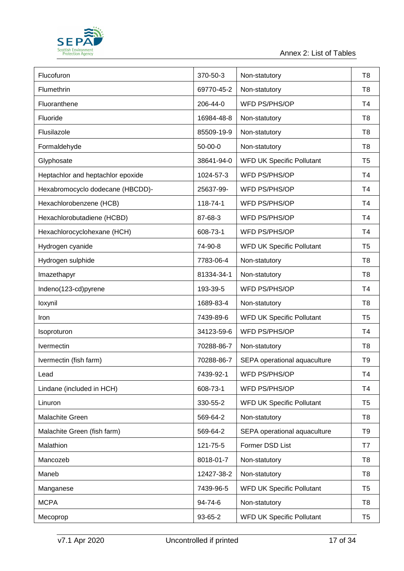

| Flucofuron                        | 370-50-3      | Non-statutory                    | T <sub>8</sub> |
|-----------------------------------|---------------|----------------------------------|----------------|
| Flumethrin                        | 69770-45-2    | Non-statutory                    | T <sub>8</sub> |
| Fluoranthene                      | 206-44-0      | WFD PS/PHS/OP                    | T <sub>4</sub> |
| Fluoride                          | 16984-48-8    | Non-statutory                    | T <sub>8</sub> |
| Flusilazole                       | 85509-19-9    | Non-statutory                    | T <sub>8</sub> |
| Formaldehyde                      | $50 - 00 - 0$ | Non-statutory                    | T <sub>8</sub> |
| Glyphosate                        | 38641-94-0    | <b>WFD UK Specific Pollutant</b> | T <sub>5</sub> |
| Heptachlor and heptachlor epoxide | 1024-57-3     | WFD PS/PHS/OP                    | T <sub>4</sub> |
| Hexabromocyclo dodecane (HBCDD)-  | 25637-99-     | WFD PS/PHS/OP                    | T4             |
| Hexachlorobenzene (HCB)           | 118-74-1      | WFD PS/PHS/OP                    | T4             |
| Hexachlorobutadiene (HCBD)        | 87-68-3       | WFD PS/PHS/OP                    | T <sub>4</sub> |
| Hexachlorocyclohexane (HCH)       | 608-73-1      | WFD PS/PHS/OP                    | T <sub>4</sub> |
| Hydrogen cyanide                  | 74-90-8       | <b>WFD UK Specific Pollutant</b> | T <sub>5</sub> |
| Hydrogen sulphide                 | 7783-06-4     | Non-statutory                    | T <sub>8</sub> |
| Imazethapyr                       | 81334-34-1    | Non-statutory                    | T <sub>8</sub> |
| Indeno(123-cd)pyrene              | 193-39-5      | WFD PS/PHS/OP                    | T4             |
| loxynil                           | 1689-83-4     | Non-statutory                    | T <sub>8</sub> |
| Iron                              | 7439-89-6     | WFD UK Specific Pollutant        | T <sub>5</sub> |
| Isoproturon                       | 34123-59-6    | WFD PS/PHS/OP                    | T <sub>4</sub> |
| Ivermectin                        | 70288-86-7    | Non-statutory                    | T <sub>8</sub> |
| Ivermectin (fish farm)            | 70288-86-7    | SEPA operational aquaculture     | T <sub>9</sub> |
| Lead                              | 7439-92-1     | WFD PS/PHS/OP                    | T <sub>4</sub> |
| Lindane (included in HCH)         | 608-73-1      | WFD PS/PHS/OP                    | T <sub>4</sub> |
| Linuron                           | 330-55-2      | <b>WFD UK Specific Pollutant</b> | T <sub>5</sub> |
| Malachite Green                   | 569-64-2      | Non-statutory                    | T <sub>8</sub> |
| Malachite Green (fish farm)       | 569-64-2      | SEPA operational aquaculture     | T <sub>9</sub> |
| Malathion                         | 121-75-5      | Former DSD List                  | T7             |
| Mancozeb                          | 8018-01-7     | Non-statutory                    | T <sub>8</sub> |
| Maneb                             | 12427-38-2    | Non-statutory                    | T <sub>8</sub> |
| Manganese                         | 7439-96-5     | <b>WFD UK Specific Pollutant</b> | T <sub>5</sub> |
| <b>MCPA</b>                       | 94-74-6       | Non-statutory                    | T8             |
| Mecoprop                          | 93-65-2       | <b>WFD UK Specific Pollutant</b> | T <sub>5</sub> |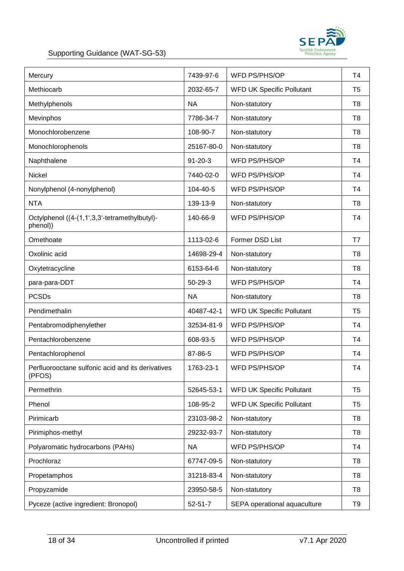

#### Supporting Guidance (WAT-SG-53)

| Mercury                                                     | 7439-97-6     | WFD PS/PHS/OP                    | T <sub>4</sub> |
|-------------------------------------------------------------|---------------|----------------------------------|----------------|
| Methiocarb                                                  | 2032-65-7     | <b>WFD UK Specific Pollutant</b> | T <sub>5</sub> |
| Methylphenols                                               | <b>NA</b>     | Non-statutory                    | T8             |
| Mevinphos                                                   | 7786-34-7     | Non-statutory                    | T <sub>8</sub> |
| Monochlorobenzene                                           | 108-90-7      | Non-statutory                    | T <sub>8</sub> |
| Monochlorophenols                                           | 25167-80-0    | Non-statutory                    | T <sub>8</sub> |
| Naphthalene                                                 | $91 - 20 - 3$ | WFD PS/PHS/OP                    | T4             |
| <b>Nickel</b>                                               | 7440-02-0     | WFD PS/PHS/OP                    | T <sub>4</sub> |
| Nonylphenol (4-nonylphenol)                                 | 104-40-5      | WFD PS/PHS/OP                    | T <sub>4</sub> |
| <b>NTA</b>                                                  | 139-13-9      | Non-statutory                    | T <sub>8</sub> |
| Octylphenol ((4-(1,1',3,3'-tetramethylbutyl)-<br>phenol))   | 140-66-9      | <b>WFD PS/PHS/OP</b>             | T4             |
| Omethoate                                                   | 1113-02-6     | Former DSD List                  | T7             |
| Oxolinic acid                                               | 14698-29-4    | Non-statutory                    | T <sub>8</sub> |
| Oxytetracycline                                             | 6153-64-6     | Non-statutory                    | T <sub>8</sub> |
| para-para-DDT                                               | $50 - 29 - 3$ | WFD PS/PHS/OP                    | T4             |
| <b>PCSDs</b>                                                | <b>NA</b>     | Non-statutory                    | T <sub>8</sub> |
| Pendimethalin                                               | 40487-42-1    | <b>WFD UK Specific Pollutant</b> | T <sub>5</sub> |
| Pentabromodiphenylether                                     | 32534-81-9    | WFD PS/PHS/OP                    | Τ4             |
| Pentachlorobenzene                                          | 608-93-5      | WFD PS/PHS/OP                    | T4             |
| Pentachlorophenol                                           | 87-86-5       | WFD PS/PHS/OP                    | T4             |
| Perfluorooctane sulfonic acid and its derivatives<br>(PFOS) | 1763-23-1     | WFD PS/PHS/OP                    | T4             |
| Permethrin                                                  | 52645-53-1    | <b>WFD UK Specific Pollutant</b> | T <sub>5</sub> |
| Phenol                                                      | 108-95-2      | <b>WFD UK Specific Pollutant</b> | T <sub>5</sub> |
| Pirimicarb                                                  | 23103-98-2    | Non-statutory                    | T <sub>8</sub> |
| Pirimiphos-methyl                                           | 29232-93-7    | Non-statutory                    | T <sub>8</sub> |
| Polyaromatic hydrocarbons (PAHs)                            | <b>NA</b>     | WFD PS/PHS/OP                    | Τ4             |
| Prochloraz                                                  | 67747-09-5    | Non-statutory                    | T <sub>8</sub> |
| Propetamphos                                                | 31218-83-4    | Non-statutory                    | T <sub>8</sub> |
| Propyzamide                                                 | 23950-58-5    | Non-statutory                    | T <sub>8</sub> |
| Pyceze (active ingredient: Bronopol)                        | $52 - 51 - 7$ | SEPA operational aquaculture     | T <sub>9</sub> |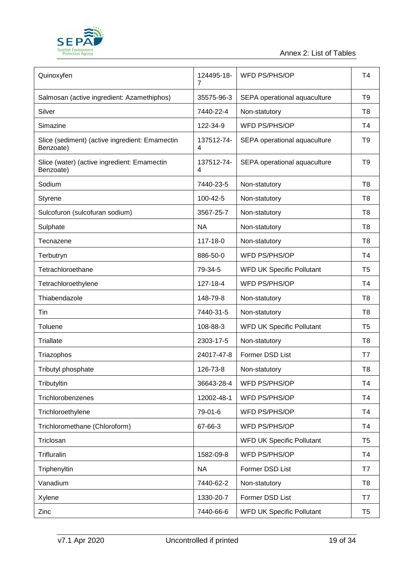

| Quinoxyfen                                                  | 124495-18-<br>7 | <b>WFD PS/PHS/OP</b>             | T <sub>4</sub> |
|-------------------------------------------------------------|-----------------|----------------------------------|----------------|
| Salmosan (active ingredient: Azamethiphos)                  | 35575-96-3      | SEPA operational aquaculture     | T <sub>9</sub> |
| Silver                                                      | 7440-22-4       | Non-statutory                    | T <sub>8</sub> |
| Simazine                                                    | 122-34-9        | WFD PS/PHS/OP                    | T4             |
| Slice (sediment) (active ingredient: Emamectin<br>Benzoate) | 137512-74-<br>4 | SEPA operational aquaculture     | T <sub>9</sub> |
| Slice (water) (active ingredient: Emamectin<br>Benzoate)    | 137512-74-<br>4 | SEPA operational aquaculture     | T <sub>9</sub> |
| Sodium                                                      | 7440-23-5       | Non-statutory                    | T <sub>8</sub> |
| Styrene                                                     | 100-42-5        | Non-statutory                    | T <sub>8</sub> |
| Sulcofuron (sulcofuran sodium)                              | 3567-25-7       | Non-statutory                    | T <sub>8</sub> |
| Sulphate                                                    | <b>NA</b>       | Non-statutory                    | T <sub>8</sub> |
| Tecnazene                                                   | 117-18-0        | Non-statutory                    | T <sub>8</sub> |
| Terbutryn                                                   | 886-50-0        | WFD PS/PHS/OP                    | T <sub>4</sub> |
| Tetrachloroethane                                           | 79-34-5         | <b>WFD UK Specific Pollutant</b> | T <sub>5</sub> |
| Tetrachloroethylene                                         | 127-18-4        | WFD PS/PHS/OP                    | T <sub>4</sub> |
| Thiabendazole                                               | 148-79-8        | Non-statutory                    | T <sub>8</sub> |
| Tin                                                         | 7440-31-5       | Non-statutory                    | T <sub>8</sub> |
| Toluene                                                     | 108-88-3        | <b>WFD UK Specific Pollutant</b> | T <sub>5</sub> |
| <b>Triallate</b>                                            | 2303-17-5       | Non-statutory                    | T <sub>8</sub> |
| Triazophos                                                  | 24017-47-8      | Former DSD List                  | T7             |
| Tributyl phosphate                                          | 126-73-8        | Non-statutory                    | T <sub>8</sub> |
| Tributyltin                                                 | 36643-28-4      | WFD PS/PHS/OP                    | T <sub>4</sub> |
| Trichlorobenzenes                                           | 12002-48-1      | WFD PS/PHS/OP                    | T <sub>4</sub> |
| Trichloroethylene                                           | 79-01-6         | WFD PS/PHS/OP                    | T4             |
| Trichloromethane (Chloroform)                               | 67-66-3         | <b>WFD PS/PHS/OP</b>             | T <sub>4</sub> |
| Triclosan                                                   |                 | <b>WFD UK Specific Pollutant</b> | T <sub>5</sub> |
| Trifluralin                                                 | 1582-09-8       | WFD PS/PHS/OP                    | T <sub>4</sub> |
| Triphenyltin                                                | <b>NA</b>       | Former DSD List                  | T7             |
| Vanadium                                                    | 7440-62-2       | Non-statutory                    | T <sub>8</sub> |
| Xylene                                                      | 1330-20-7       | Former DSD List                  | T7             |
| Zinc                                                        | 7440-66-6       | <b>WFD UK Specific Pollutant</b> | T <sub>5</sub> |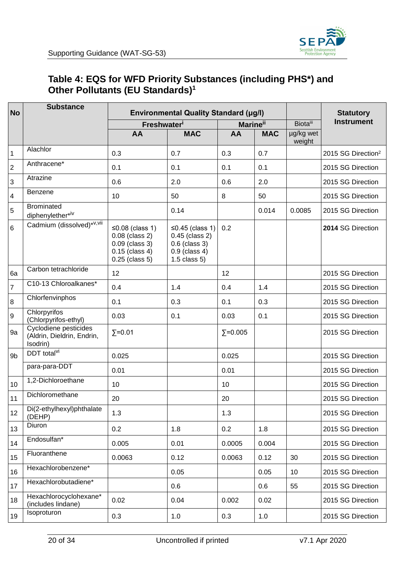### <span id="page-19-0"></span>**Table 4: EQS for WFD Priority Substances (including PHS\*) and Other Pollutants (EU Standards)<sup>1</sup>**

| <b>No</b>        | <b>Substance</b>                                                | <b>Environmental Quality Standard (µg/l)</b>                                                             |                                                                                               |                             |            |                     | <b>Statutory</b>               |  |
|------------------|-----------------------------------------------------------------|----------------------------------------------------------------------------------------------------------|-----------------------------------------------------------------------------------------------|-----------------------------|------------|---------------------|--------------------------------|--|
|                  |                                                                 | Freshwater <sup>i</sup>                                                                                  |                                                                                               | <b>Marine</b> <sup>ii</sup> |            | <b>Biota</b> iii    | <b>Instrument</b>              |  |
|                  |                                                                 | AA                                                                                                       | <b>MAC</b>                                                                                    | AA                          | <b>MAC</b> | µg/kg wet<br>weight |                                |  |
| $\mathbf{1}$     | Alachlor                                                        | 0.3                                                                                                      | 0.7                                                                                           | 0.3                         | 0.7        |                     | 2015 SG Direction <sup>2</sup> |  |
| $\boldsymbol{2}$ | Anthracene*                                                     | 0.1                                                                                                      | 0.1                                                                                           | 0.1                         | 0.1        |                     | 2015 SG Direction              |  |
| 3                | Atrazine                                                        | 0.6                                                                                                      | 2.0                                                                                           | 0.6                         | 2.0        |                     | 2015 SG Direction              |  |
| 4                | <b>Benzene</b>                                                  | 10                                                                                                       | 50                                                                                            | 8                           | 50         |                     | 2015 SG Direction              |  |
| 5                | <b>Brominated</b><br>diphenylether*iv                           |                                                                                                          | 0.14                                                                                          |                             | 0.014      | 0.0085              | 2015 SG Direction              |  |
| 6                | Cadmium (dissolved)* <sup>v,vii</sup>                           | $\leq$ 0.08 (class 1)<br>$0.08$ (class 2)<br>$0.09$ (class 3)<br>$0.15$ (class 4)<br>$0.25$ (class $5$ ) | ≤0.45 (class 1)<br>$0.45$ (class 2)<br>$0.6$ (class 3)<br>$0.9$ (class 4)<br>$1.5$ class $5)$ | 0.2                         |            |                     | 2014 SG Direction              |  |
| 6a               | Carbon tetrachloride                                            | 12                                                                                                       |                                                                                               | 12                          |            |                     | 2015 SG Direction              |  |
| $\overline{7}$   | C10-13 Chloroalkanes*                                           | 0.4                                                                                                      | 1.4                                                                                           | 0.4                         | 1.4        |                     | 2015 SG Direction              |  |
| 8                | Chlorfenvinphos                                                 | 0.1                                                                                                      | 0.3                                                                                           | 0.1                         | 0.3        |                     | 2015 SG Direction              |  |
| 9                | Chlorpyrifos<br>(Chlorpyrifos-ethyl)                            | 0.03                                                                                                     | 0.1                                                                                           | 0.03                        | 0.1        |                     | 2015 SG Direction              |  |
| 9a               | Cyclodiene pesticides<br>(Aldrin, Dieldrin, Endrin,<br>Isodrin) | $\Sigma = 0.01$                                                                                          |                                                                                               | $\Sigma = 0.005$            |            |                     | 2015 SG Direction              |  |
| 9b               | DDT total <sup>vi</sup>                                         | 0.025                                                                                                    |                                                                                               | 0.025                       |            |                     | 2015 SG Direction              |  |
|                  | para-para-DDT                                                   | 0.01                                                                                                     |                                                                                               | 0.01                        |            |                     | 2015 SG Direction              |  |
| 10               | 1,2-Dichloroethane                                              | 10                                                                                                       |                                                                                               | 10                          |            |                     | 2015 SG Direction              |  |
| 11               | Dichloromethane                                                 | 20                                                                                                       |                                                                                               | 20                          |            |                     | 2015 SG Direction              |  |
| 12               | Di(2-ethylhexyl)phthalate<br>(DEHP)                             | 1.3                                                                                                      |                                                                                               | 1.3                         |            |                     | 2015 SG Direction              |  |
| 13               | Diuron                                                          | 0.2                                                                                                      | 1.8                                                                                           | 0.2                         | 1.8        |                     | 2015 SG Direction              |  |
| 14               | Endosulfan*                                                     | 0.005                                                                                                    | 0.01                                                                                          | 0.0005                      | 0.004      |                     | 2015 SG Direction              |  |
| 15               | Fluoranthene                                                    | 0.0063                                                                                                   | 0.12                                                                                          | 0.0063                      | 0.12       | 30                  | 2015 SG Direction              |  |
| 16               | Hexachlorobenzene*                                              |                                                                                                          | 0.05                                                                                          |                             | 0.05       | 10                  | 2015 SG Direction              |  |
| 17               | Hexachlorobutadiene*                                            |                                                                                                          | 0.6                                                                                           |                             | 0.6        | 55                  | 2015 SG Direction              |  |
| 18               | Hexachlorocyclohexane*<br>(includes lindane)                    | 0.02                                                                                                     | 0.04                                                                                          | 0.002                       | 0.02       |                     | 2015 SG Direction              |  |
| 19               | Isoproturon                                                     | 0.3                                                                                                      | 1.0                                                                                           | 0.3                         | 1.0        |                     | 2015 SG Direction              |  |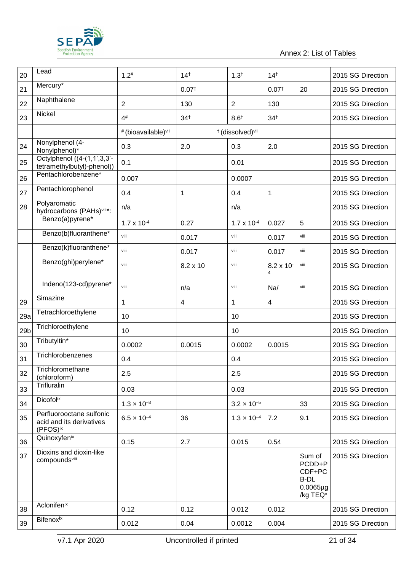

#### Annex 2: List of Tables

| 20              | Lead                                                             | $1.2^{#}$            | 14 <sup>†</sup>   | $1.3^{+}$                               | $14^{+}$                               |                                                                                   | 2015 SG Direction |
|-----------------|------------------------------------------------------------------|----------------------|-------------------|-----------------------------------------|----------------------------------------|-----------------------------------------------------------------------------------|-------------------|
| 21              | Mercury*                                                         |                      | 0.07 <sup>†</sup> |                                         | 0.07 <sup>†</sup>                      | 20                                                                                | 2015 SG Direction |
| 22              | Naphthalene                                                      | $\overline{2}$       | 130               | $\overline{2}$                          | 130                                    |                                                                                   | 2015 SG Direction |
| 23              | Nickel                                                           | $4^{\#}$             | 34 <sup>†</sup>   | $8.6^{+}$                               | 34 <sup>†</sup>                        |                                                                                   | 2015 SG Direction |
|                 |                                                                  | # (bioavailable)vii  |                   | <sup>†</sup> (dissolved) <sup>vii</sup> |                                        |                                                                                   |                   |
| 24              | Nonylphenol (4-<br>Nonylphenol)*                                 | 0.3                  | 2.0               | 0.3                                     | 2.0                                    |                                                                                   | 2015 SG Direction |
| 25              | Octylphenol ((4-(1,1',3,3'-<br>tetramethylbutyl)-phenol))        | 0.1                  |                   | 0.01                                    |                                        |                                                                                   | 2015 SG Direction |
| 26              | Pentachlorobenzene*                                              | 0.007                |                   | 0.0007                                  |                                        |                                                                                   | 2015 SG Direction |
| 27              | Pentachlorophenol                                                | 0.4                  | 1                 | 0.4                                     | 1                                      |                                                                                   | 2015 SG Direction |
| 28              | Polyaromatic<br>hydrocarbons (PAHs)viii*:                        | n/a                  |                   | n/a                                     |                                        |                                                                                   | 2015 SG Direction |
|                 | Benzo(a)pyrene*                                                  | $1.7 \times 10^{-4}$ | 0.27              | $1.7 \times 10^{-4}$                    | 0.027                                  | 5                                                                                 | 2015 SG Direction |
|                 | Benzo(b)fluoranthene*                                            | viii                 | 0.017             | viii                                    | 0.017                                  | viii                                                                              | 2015 SG Direction |
|                 | Benzo(k)fluoranthene*                                            | viii                 | 0.017             | viii                                    | 0.017                                  | viii                                                                              | 2015 SG Direction |
|                 | Benzo(ghi)perylene*                                              | viii                 | 8.2 x 10          | viii                                    | $8.2 \times 10^{-7}$<br>$\overline{4}$ | viii                                                                              | 2015 SG Direction |
|                 | Indeno(123-cd)pyrene*                                            | viii                 | n/a               | viii                                    | Na/                                    | viii                                                                              | 2015 SG Direction |
| 29              | Simazine                                                         | 1                    | 4                 | 1                                       | 4                                      |                                                                                   | 2015 SG Direction |
| 29a             | Tetrachloroethylene                                              | 10                   |                   | 10                                      |                                        |                                                                                   | 2015 SG Direction |
| 29 <sub>b</sub> | Trichloroethylene                                                | 10                   |                   | 10                                      |                                        |                                                                                   | 2015 SG Direction |
| 30              | Tributyltin*                                                     | 0.0002               | 0.0015            | 0.0002                                  | 0.0015                                 |                                                                                   | 2015 SG Direction |
| 31              | Trichlorobenzenes                                                | 0.4                  |                   | 0.4                                     |                                        |                                                                                   | 2015 SG Direction |
| 32              | Trichloromethane<br>(chloroform)                                 | 2.5                  |                   | 2.5                                     |                                        |                                                                                   | 2015 SG Direction |
| 33              | Trifluralin                                                      | 0.03                 |                   | 0.03                                    |                                        |                                                                                   | 2015 SG Direction |
| 34              | <b>Dicofolix</b>                                                 | $1.3 \times 10^{-3}$ |                   | $3.2 \times 10^{-5}$                    |                                        | 33                                                                                | 2015 SG Direction |
| 35              | Perfluorooctane sulfonic<br>acid and its derivatives<br>(PFOS)ix | $6.5 \times 10^{-4}$ | 36                | $1.3 \times 10^{-4}$                    | 7.2                                    | 9.1                                                                               | 2015 SG Direction |
| 36              | Quinoxyfenix                                                     | 0.15                 | 2.7               | 0.015                                   | 0.54                                   |                                                                                   | 2015 SG Direction |
| 37              | Dioxins and dioxin-like<br>compoundsvill                         |                      |                   |                                         |                                        | Sum of<br>PCDD+P<br>CDF+PC<br><b>B-DL</b><br>$0.0065\mug$<br>/kg TEQ <sup>x</sup> | 2015 SG Direction |
| 38              | Aclonifenix                                                      | 0.12                 | 0.12              | 0.012                                   | 0.012                                  |                                                                                   | 2015 SG Direction |
| 39              | <b>Bifenoxix</b>                                                 | 0.012                | 0.04              | 0.0012                                  | 0.004                                  |                                                                                   | 2015 SG Direction |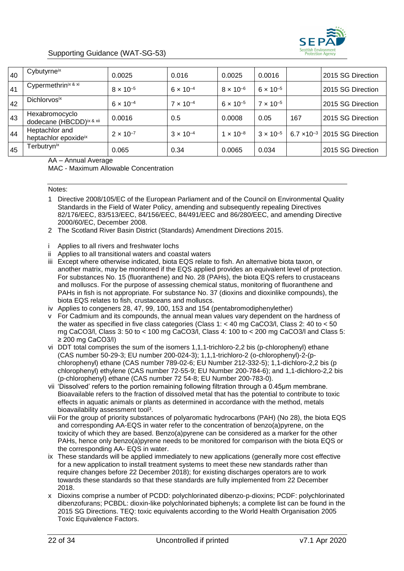

#### Supporting Guidance (WAT-SG-53)

| 40 | Cybutyrneix                                | 0.0025             | 0.016              | 0.0025             | 0.0016             |     | 2015 SG Direction                      |
|----|--------------------------------------------|--------------------|--------------------|--------------------|--------------------|-----|----------------------------------------|
| 41 | Cypermethrinix & xi                        | $8 \times 10^{-5}$ | $6 \times 10^{-4}$ | $8 \times 10^{-6}$ | $6 \times 10^{-5}$ |     | 2015 SG Direction                      |
| 42 | Dichlorvos <sup>ix</sup>                   | $6 \times 10^{-4}$ | $7 \times 10^{-4}$ | $6 \times 10^{-5}$ | $7 \times 10^{-5}$ |     | 2015 SG Direction                      |
| 43 | Hexabromocyclo<br>dodecane (HBCDD)ix & xii | 0.0016             | 0.5                | 0.0008             | 0.05               | 167 | 2015 SG Direction                      |
| 44 | Heptachlor and<br>heptachlor epoxideix     | $2 \times 10^{-7}$ | $3 \times 10^{-4}$ | $1 \times 10^{-8}$ | $3 \times 10^{-5}$ |     | $6.7 \times 10^{-3}$ 2015 SG Direction |
| 45 | Terbutryn <sup>ix</sup>                    | 0.065              | 0.34               | 0.0065             | 0.034              |     | 2015 SG Direction                      |

AA – Annual Average

MAC - Maximum Allowable Concentration

#### Notes:

- 1 Directive 2008/105/EC of the European Parliament and of the Council on Environmental Quality Standards in the Field of Water Policy, amending and subsequently repealing Directives 82/176/EEC, 83/513/EEC, 84/156/EEC, 84/491/EEC and 86/280/EEC, and amending Directive 2000/60/EC, December 2008.
- 2 The Scotland River Basin District (Standards) Amendment Directions 2015.
- i Applies to all rivers and freshwater lochs
- ii Applies to all transitional waters and coastal waters
- iii Except where otherwise indicated, biota EQS relate to fish. An alternative biota taxon, or another matrix, may be monitored if the EQS applied provides an equivalent level of protection. For substances No. 15 (fluoranthene) and No. 28 (PAHs), the biota EQS refers to crustaceans and molluscs. For the purpose of assessing chemical status, monitoring of fluoranthene and PAHs in fish is not appropriate. For substance No. 37 (dioxins and dioxinlike compounds), the biota EQS relates to fish, crustaceans and molluscs.
- iv Applies to congeners 28, 47, 99, 100, 153 and 154 (pentabromodiphenylether)
- v For Cadmium and its compounds, the annual mean values vary dependent on the hardness of the water as specified in five class categories (Class 1: < 40 mg CaCO3/l, Class 2: 40 to < 50 mg CaCO3/l, Class 3: 50 to < 100 mg CaCO3/l, Class 4: 100 to < 200 mg CaCO3/l and Class 5: ≥ 200 mg CaCO3/l)
- vi DDT total comprises the sum of the isomers 1,1,1-trichloro-2,2 bis (p-chlorophenyl) ethane (CAS number 50-29-3; EU number 200-024-3); 1,1,1-trichloro-2 (o-chlorophenyl)-2-(pchlorophenyl) ethane (CAS number 789-02-6; EU Number 212-332-5); 1,1-dichloro-2,2 bis (p chlorophenyl) ethylene (CAS number 72-55-9; EU Number 200-784-6); and 1,1-dichloro-2,2 bis (p-chlorophenyl) ethane (CAS number 72 54-8; EU Number 200-783-0).
- vii 'Dissolved' refers to the portion remaining following filtration through a 0.45µm membrane. Bioavailable refers to the fraction of dissolved metal that has the potential to contribute to toxic effects in aquatic animals or plants as determined in accordance with the method, metals bioavailability assessment tool<sup>3</sup>.
- viii For the group of priority substances of polyaromatic hydrocarbons (PAH) (No 28), the biota EQS and corresponding AA-EQS in water refer to the concentration of benzo(a)pyrene, on the toxicity of which they are based. Benzo(a)pyrene can be considered as a marker for the other PAHs, hence only benzo(a)pyrene needs to be monitored for comparison with the biota EQS or the corresponding AA- EQS in water.
- ix These standards will be applied immediately to new applications (generally more cost effective for a new application to install treatment systems to meet these new standards rather than require changes before 22 December 2018); for existing discharges operators are to work towards these standards so that these standards are fully implemented from 22 December 2018.
- x Dioxins comprise a number of PCDD: polychlorinated dibenzo-p-dioxins; PCDF: polychlorinated dibenzofurans; PCBDL: dioxin-like polychlorinated biphenyls; a complete list can be found in the 2015 SG Directions. TEQ: toxic equivalents according to the World Health Organisation 2005 Toxic Equivalence Factors.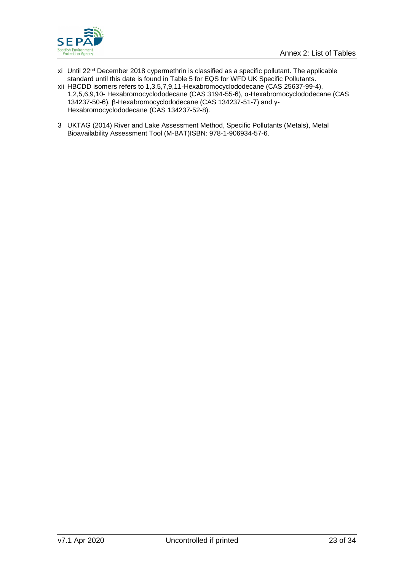

- xi Until 22<sup>nd</sup> December 2018 cypermethrin is classified as a specific pollutant. The applicable standard until this date is found in Table 5 for EQS for WFD UK Specific Pollutants.
- xii HBCDD isomers refers to 1,3,5,7,9,11-Hexabromocyclododecane (CAS 25637-99-4), 1,2,5,6,9,10- Hexabromocyclododecane (CAS 3194-55-6), α-Hexabromocyclododecane (CAS 134237-50-6), β-Hexabromocyclododecane (CAS 134237-51-7) and γ-Hexabromocyclododecane (CAS 134237-52-8).
- 3 UKTAG (2014) River and Lake Assessment Method, Specific Pollutants (Metals), Metal Bioavailability Assessment Tool (M-BAT)ISBN: 978-1-906934-57-6.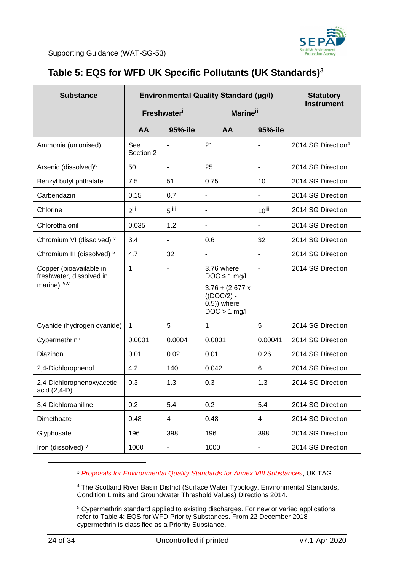

### <span id="page-23-0"></span>**Table 5: EQS for WFD UK Specific Pollutants (UK Standards)<sup>3</sup>**

| <b>Substance</b>                                                    | <b>Environmental Quality Standard (µg/l)</b> |                              |                                                                                                          |                          | <b>Statutory</b>               |
|---------------------------------------------------------------------|----------------------------------------------|------------------------------|----------------------------------------------------------------------------------------------------------|--------------------------|--------------------------------|
|                                                                     |                                              | <b>Freshwater</b>            | <b>Marine</b> <sup>ii</sup>                                                                              |                          | <b>Instrument</b>              |
|                                                                     | AA                                           | 95%-ile                      | AA                                                                                                       | 95%-ile                  |                                |
| Ammonia (unionised)                                                 | See<br>Section 2                             |                              | 21                                                                                                       |                          | 2014 SG Direction <sup>4</sup> |
| Arsenic (dissolved)iv                                               | 50                                           | $\overline{\phantom{a}}$     | 25                                                                                                       | $\blacksquare$           | 2014 SG Direction              |
| Benzyl butyl phthalate                                              | 7.5                                          | 51                           | 0.75                                                                                                     | 10                       | 2014 SG Direction              |
| Carbendazin                                                         | 0.15                                         | 0.7                          | $\overline{\phantom{a}}$                                                                                 |                          | 2014 SG Direction              |
| Chlorine                                                            | $2$ <sup>iii</sup>                           | $5$ iii                      | $\blacksquare$                                                                                           | $10$ <sup>iii</sup>      | 2014 SG Direction              |
| Chlorothalonil                                                      | 0.035                                        | 1.2                          |                                                                                                          |                          | 2014 SG Direction              |
| Chromium VI (dissolved) iv                                          | 3.4                                          | $\overline{\phantom{a}}$     | 0.6                                                                                                      | 32                       | 2014 SG Direction              |
| Chromium III (dissolved) iv                                         | 4.7                                          | 32                           |                                                                                                          |                          | 2014 SG Direction              |
| Copper (bioavailable in<br>freshwater, dissolved in<br>marine) iv,v | 1                                            |                              | 3.76 where<br>$DOC \le 1$ mg/l<br>$3.76 + (2.677 x$<br>$((DOC/2) -$<br>$(0.5)$ ) where<br>$DOC > 1$ mg/l | $\overline{\phantom{a}}$ | 2014 SG Direction              |
| Cyanide (hydrogen cyanide)                                          | 1                                            | 5                            | 1                                                                                                        | 5                        | 2014 SG Direction              |
| Cypermethrin <sup>5</sup>                                           | 0.0001                                       | 0.0004                       | 0.0001                                                                                                   | 0.00041                  | 2014 SG Direction              |
| Diazinon                                                            | 0.01                                         | 0.02                         | 0.01                                                                                                     | 0.26                     | 2014 SG Direction              |
| 2,4-Dichlorophenol                                                  | 4.2                                          | 140                          | 0.042                                                                                                    | $6\phantom{1}6$          | 2014 SG Direction              |
| 2,4-Dichlorophenoxyacetic<br>acid (2,4-D)                           | 0.3                                          | 1.3                          | 0.3                                                                                                      | 1.3                      | 2014 SG Direction              |
| 3,4-Dichloroaniline                                                 | 0.2                                          | 5.4                          | 0.2                                                                                                      | 5.4                      | 2014 SG Direction              |
| Dimethoate                                                          | 0.48                                         | 4                            | 0.48                                                                                                     | 4                        | 2014 SG Direction              |
| Glyphosate                                                          | 196                                          | 398                          | 196                                                                                                      | 398                      | 2014 SG Direction              |
| Iron (dissolved) iv                                                 | 1000                                         | $\qquad \qquad \blacksquare$ | 1000                                                                                                     | $\overline{\phantom{m}}$ | 2014 SG Direction              |

<sup>3</sup> *Proposals for Environmental Quality Standards for Annex VIII Substances*, UK TAG

<sup>4</sup> The Scotland River Basin District (Surface Water Typology, Environmental Standards, Condition Limits and Groundwater Threshold Values) Directions 2014.

<sup>5</sup> Cypermethrin standard applied to existing discharges. For new or varied applications refer to Table 4: EQS for WFD Priority Substances. From 22 December 2018 cypermethrin is classified as a Priority Substance.

l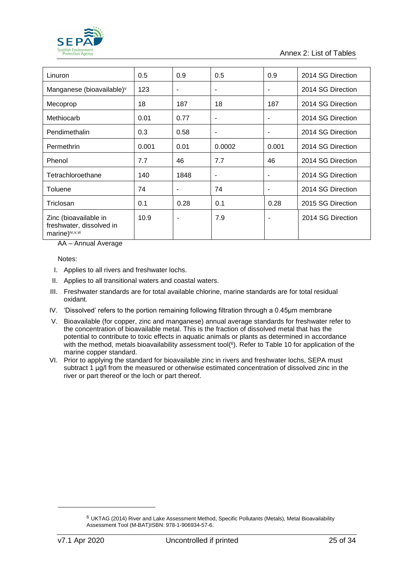

Annex 2: List of Tables

| Linuron                                                               | 0.5   | 0.9  | 0.5                      | 0.9            | 2014 SG Direction |
|-----------------------------------------------------------------------|-------|------|--------------------------|----------------|-------------------|
| Manganese (bioavailable) <sup>v</sup>                                 | 123   |      | $\overline{\phantom{a}}$ | ۰              | 2014 SG Direction |
| Mecoprop                                                              | 18    | 187  | 18                       | 187            | 2014 SG Direction |
| Methiocarb                                                            | 0.01  | 0.77 | $\overline{\phantom{a}}$ |                | 2014 SG Direction |
| Pendimethalin                                                         | 0.3   | 0.58 | $\blacksquare$           |                | 2014 SG Direction |
| Permethrin                                                            | 0.001 | 0.01 | 0.0002                   | 0.001          | 2014 SG Direction |
| Phenol                                                                | 7.7   | 46   | 7.7                      | 46             | 2014 SG Direction |
| Tetrachloroethane                                                     | 140   | 1848 | $\blacksquare$           |                | 2014 SG Direction |
| Toluene                                                               | 74    |      | 74                       | $\blacksquare$ | 2014 SG Direction |
| Triclosan                                                             | 0.1   | 0.28 | 0.1                      | 0.28           | 2015 SG Direction |
| Zinc (bioavailable in<br>freshwater, dissolved in<br>marine)iv, v, vi | 10.9  | ٠    | 7.9                      | ۰              | 2014 SG Direction |

AA – Annual Average

Notes:

- I. Applies to all rivers and freshwater lochs.
- II. Applies to all transitional waters and coastal waters.
- III. Freshwater standards are for total available chlorine, marine standards are for total residual oxidant.
- IV. 'Dissolved' refers to the portion remaining following filtration through a 0.45µm membrane
- V. Bioavailable (for copper, zinc and manganese) annual average standards for freshwater refer to the concentration of bioavailable metal. This is the fraction of dissolved metal that has the potential to contribute to toxic effects in aquatic animals or plants as determined in accordance with the method, metals bioavailability assessment tool(<sup>6</sup>). Refer to Table 10 for application of the marine copper standard.
- VI. Prior to applying the standard for bioavailable zinc in rivers and freshwater lochs, SEPA must subtract 1 µg/l from the measured or otherwise estimated concentration of dissolved zinc in the river or part thereof or the loch or part thereof*.*

-

<sup>6</sup> UKTAG (2014) River and Lake Assessment Method, Specific Pollutants (Metals), Metal Bioavailability Assessment Tool (M-BAT)ISBN: 978-1-906934-57-6.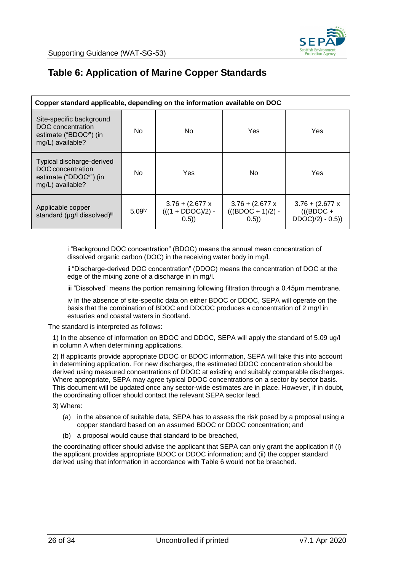

### <span id="page-25-0"></span>**Table 6: Application of Marine Copper Standards**

| Copper standard applicable, depending on the information available on DOC                               |                                                                         |     |                                                   |                                                         |  |  |  |
|---------------------------------------------------------------------------------------------------------|-------------------------------------------------------------------------|-----|---------------------------------------------------|---------------------------------------------------------|--|--|--|
| Site-specific background<br>DOC concentration<br>estimate ("BDOC <sup>"</sup> ) (in<br>mg/L) available? | No.                                                                     | No. | Yes                                               | Yes                                                     |  |  |  |
| Typical discharge-derived<br>DOC concentration<br>estimate ("DDOCii") (in<br>mg/L) available?           | No.                                                                     | Yes | No                                                | Yes                                                     |  |  |  |
| Applicable copper<br>standard (µg/l dissolved)iii                                                       | $3.76 + (2.677 x$<br>$(((1 + DDOC)/2) -$<br>5.09 <sup>iv</sup><br>(0.5) |     | $3.76 + (2.677 x$<br>$(((BDOC + 1)/2) -$<br>(0.5) | $3.76 + (2.677 x$<br>$(((BDOC +$<br>$DDOC)/2$ ) - 0.5)) |  |  |  |

i "Background DOC concentration" (BDOC) means the annual mean concentration of dissolved organic carbon (DOC) in the receiving water body in mg/l.

ii "Discharge-derived DOC concentration" (DDOC) means the concentration of DOC at the edge of the mixing zone of a discharge in in mg/l.

iii "Dissolved" means the portion remaining following filtration through a 0.45µm membrane.

iv In the absence of site-specific data on either BDOC or DDOC, SEPA will operate on the basis that the combination of BDOC and DDCOC produces a concentration of 2 mg/l in estuaries and coastal waters in Scotland.

The standard is interpreted as follows:

1) In the absence of information on BDOC and DDOC, SEPA will apply the standard of 5.09 ug/l in column A when determining applications.

2) If applicants provide appropriate DDOC or BDOC information, SEPA will take this into account in determining application. For new discharges, the estimated DDOC concentration should be derived using measured concentrations of DDOC at existing and suitably comparable discharges. Where appropriate, SEPA may agree typical DDOC concentrations on a sector by sector basis. This document will be updated once any sector-wide estimates are in place. However, if in doubt, the coordinating officer should contact the relevant SEPA sector lead.

3) Where:

- (a) in the absence of suitable data, SEPA has to assess the risk posed by a proposal using a copper standard based on an assumed BDOC or DDOC concentration; and
- (b) a proposal would cause that standard to be breached,

the coordinating officer should advise the applicant that SEPA can only grant the application if (i) the applicant provides appropriate BDOC or DDOC information; and (ii) the copper standard derived using that information in accordance with Table 6 would not be breached.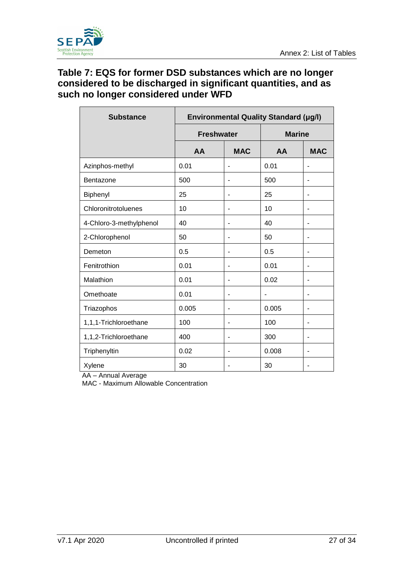

#### <span id="page-26-0"></span>**Table 7: EQS for former DSD substances which are no longer considered to be discharged in significant quantities, and as such no longer considered under WFD**

| <b>Substance</b>        | <b>Environmental Quality Standard (µg/l)</b> |            |               |            |  |
|-------------------------|----------------------------------------------|------------|---------------|------------|--|
|                         | <b>Freshwater</b>                            |            | <b>Marine</b> |            |  |
|                         | AA                                           | <b>MAC</b> | AA            | <b>MAC</b> |  |
| Azinphos-methyl         | 0.01                                         |            | 0.01          |            |  |
| Bentazone               | 500                                          |            | 500           |            |  |
| Biphenyl                | 25                                           |            | 25            |            |  |
| Chloronitrotoluenes     | 10                                           |            | 10            |            |  |
| 4-Chloro-3-methylphenol | 40                                           |            | 40            |            |  |
| 2-Chlorophenol          | 50                                           |            | 50            |            |  |
| Demeton                 | 0.5                                          |            | 0.5           |            |  |
| Fenitrothion            | 0.01                                         |            | 0.01          |            |  |
| Malathion               | 0.01                                         |            | 0.02          |            |  |
| Omethoate               | 0.01                                         |            |               |            |  |
| Triazophos              | 0.005                                        |            | 0.005         |            |  |
| 1,1,1-Trichloroethane   | 100                                          |            | 100           |            |  |
| 1,1,2-Trichloroethane   | 400                                          |            | 300           |            |  |
| Triphenyltin            | 0.02                                         |            | 0.008         |            |  |
| Xylene                  | 30                                           |            | 30            |            |  |

AA – Annual Average

MAC - Maximum Allowable Concentration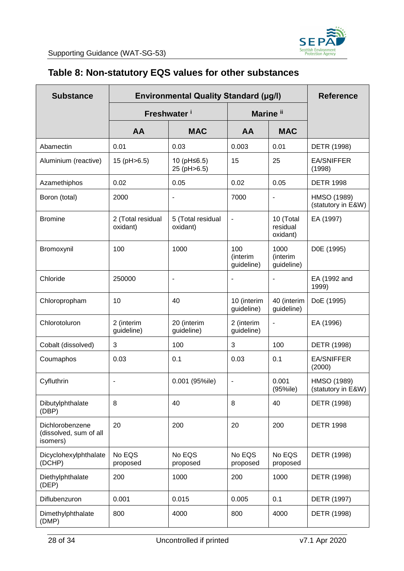

### <span id="page-27-0"></span>**Table 8: Non-statutory EQS values for other substances**

| <b>Substance</b>                                      | <b>Environmental Quality Standard (µg/l)</b> | <b>Reference</b>              |                               |                                   |                                   |
|-------------------------------------------------------|----------------------------------------------|-------------------------------|-------------------------------|-----------------------------------|-----------------------------------|
|                                                       |                                              | Freshwater <sup>i</sup>       |                               | Marine <sup>ii</sup>              |                                   |
|                                                       | AA                                           | <b>MAC</b>                    | AA                            | <b>MAC</b>                        |                                   |
| Abamectin                                             | 0.01                                         | 0.03                          | 0.003                         | 0.01                              | DETR (1998)                       |
| Aluminium (reactive)                                  | 15 (pH>6.5)                                  | 10 (pH≤6.5)<br>25 (pH>6.5)    | 15                            | 25                                | <b>EA/SNIFFER</b><br>(1998)       |
| Azamethiphos                                          | 0.02                                         | 0.05                          | 0.02                          | 0.05                              | <b>DETR 1998</b>                  |
| Boron (total)                                         | 2000                                         | $\blacksquare$                | 7000                          | $\overline{\phantom{a}}$          | HMSO (1989)<br>(statutory in E&W) |
| <b>Bromine</b>                                        | 2 (Total residual<br>oxidant)                | 5 (Total residual<br>oxidant) | ٠                             | 10 (Total<br>residual<br>oxidant) | EA (1997)                         |
| Bromoxynil                                            | 100                                          | 1000                          | 100<br>(interim<br>guideline) | 1000<br>(interim<br>guideline)    | D0E (1995)                        |
| Chloride                                              | 250000                                       | $\overline{\phantom{a}}$      |                               |                                   | EA (1992 and<br>1999)             |
| Chloropropham                                         | 10                                           | 40                            | 10 (interim<br>guideline)     | 40 (interim<br>guideline)         | DoE (1995)                        |
| Chlorotoluron                                         | 2 (interim<br>guideline)                     | 20 (interim<br>guideline)     | 2 (interim<br>guideline)      | $\blacksquare$                    | EA (1996)                         |
| Cobalt (dissolved)                                    | 3                                            | 100                           | 3                             | 100                               | DETR (1998)                       |
| Coumaphos                                             | 0.03                                         | 0.1                           | 0.03                          | 0.1                               | <b>EA/SNIFFER</b><br>(2000)       |
| Cyfluthrin                                            |                                              | 0.001 (95%ile)                | ٠                             | 0.001<br>(95%ile)                 | HMSO (1989)<br>(statutory in E&W) |
| Dibutylphthalate<br>(DBP)                             | 8                                            | 40                            | 8                             | 40                                | DETR (1998)                       |
| Dichlorobenzene<br>(dissolved, sum of all<br>isomers) | 20                                           | 200                           | 20                            | 200                               | <b>DETR 1998</b>                  |
| Dicyclohexylphthalate<br>(DCHP)                       | No EQS<br>proposed                           | No EQS<br>proposed            | No EQS<br>proposed            | No EQS<br>proposed                | DETR (1998)                       |
| Diethylphthalate<br>(DEP)                             | 200                                          | 1000                          | 200                           | 1000                              | DETR (1998)                       |
| Diflubenzuron                                         | 0.001                                        | 0.015                         | 0.005                         | 0.1                               | DETR (1997)                       |
| Dimethylphthalate<br>(DMP)                            | 800                                          | 4000                          | 800                           | 4000                              | DETR (1998)                       |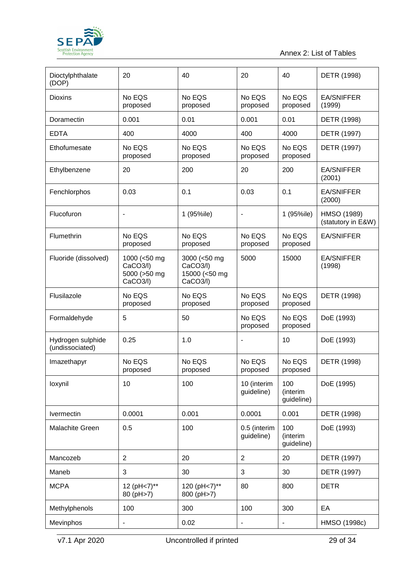

Annex 2: List of Tables

| Dioctylphthalate<br>(DOP)            | 20                                                   | 40                                                    | 20                           | 40                            | DETR (1998)                       |
|--------------------------------------|------------------------------------------------------|-------------------------------------------------------|------------------------------|-------------------------------|-----------------------------------|
| <b>Dioxins</b>                       | No EQS<br>proposed                                   | No EQS<br>proposed                                    | No EQS<br>proposed           | No EQS<br>proposed            | <b>EA/SNIFFER</b><br>(1999)       |
| Doramectin                           | 0.001                                                | 0.01                                                  | 0.001                        | 0.01                          | DETR (1998)                       |
| <b>EDTA</b>                          | 400                                                  | 4000                                                  | 400                          | 4000                          | DETR (1997)                       |
| Ethofumesate                         | No EQS<br>proposed                                   | No EQS<br>proposed                                    | No EQS<br>proposed           | No EQS<br>proposed            | DETR (1997)                       |
| Ethylbenzene                         | 20                                                   | 200                                                   | 20                           | 200                           | <b>EA/SNIFFER</b><br>(2001)       |
| Fenchlorphos                         | 0.03                                                 | 0.1                                                   | 0.03                         | 0.1                           | <b>EA/SNIFFER</b><br>(2000)       |
| Flucofuron                           | $\qquad \qquad \blacksquare$                         | 1 (95%ile)                                            | $\qquad \qquad \blacksquare$ | 1 (95%ile)                    | HMSO (1989)<br>(statutory in E&W) |
| Flumethrin                           | No EQS<br>proposed                                   | No EQS<br>proposed                                    | No EQS<br>proposed           | No EQS<br>proposed            | <b>EA/SNIFFER</b>                 |
| Fluoride (dissolved)                 | 1000 (<50 mg<br>CaCO3/I)<br>5000 (>50 mg<br>CaCO3/I) | 3000 (<50 mg<br>CaCO3/I)<br>15000 (<50 mg<br>CaCO3/I) | 5000<br>15000                |                               | <b>EA/SNIFFER</b><br>(1998)       |
| Flusilazole                          | No EQS<br>proposed                                   | No EQS<br>proposed                                    | No EQS<br>proposed           | No EQS<br>proposed            | DETR (1998)                       |
| Formaldehyde                         | 5                                                    | 50                                                    | No EQS<br>proposed           | No EQS<br>proposed            | DoE (1993)                        |
| Hydrogen sulphide<br>(undissociated) | 0.25                                                 | 1.0                                                   | -                            | 10                            | DoE (1993)                        |
| Imazethapyr                          | No EQS<br>proposed                                   | No EQS<br>proposed                                    | No EQS<br>proposed           | No EQS<br>proposed            | DETR (1998)                       |
| loxynil                              | 10                                                   | 100                                                   | 10 (interim<br>quideline)    | 100<br>(interim<br>guideline) | DoE (1995)                        |
| Ivermectin                           | 0.0001                                               | 0.001                                                 | 0.0001                       | 0.001                         | DETR (1998)                       |
| Malachite Green                      | 0.5                                                  | 100                                                   | 0.5 (interim<br>guideline)   | 100<br>(interim<br>guideline) | DoE (1993)                        |
| Mancozeb                             | $\overline{2}$                                       | 20                                                    | $\overline{2}$               | 20                            | DETR (1997)                       |
| Maneb                                | 3                                                    | 30                                                    | 3                            | 30                            | DETR (1997)                       |
| <b>MCPA</b>                          | 12 (pH<7)**<br>80 (pH>7)                             | 120 (pH<7)**<br>800 (pH>7)                            | 80                           | 800                           | <b>DETR</b>                       |
| Methylphenols                        | 100                                                  | 300                                                   | 100                          | 300                           | EA                                |
| Mevinphos                            |                                                      | 0.02                                                  | $\overline{\phantom{0}}$     | $\blacksquare$                | HMSO (1998c)                      |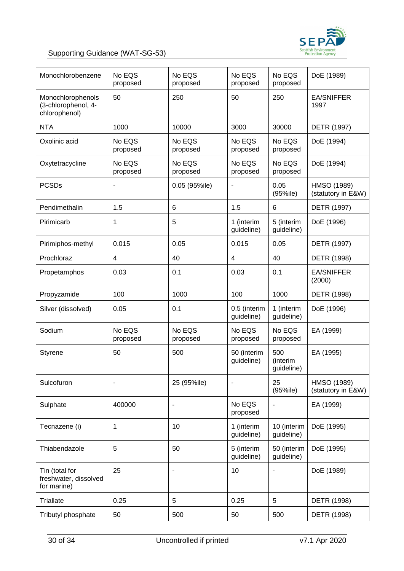

#### Supporting Guidance (WAT-SG-53)

| Monochlorobenzene                                         | No EQS<br>proposed | No EQS<br>proposed | No EQS<br>proposed         | No EQS<br>proposed            | DoE (1989)                        |
|-----------------------------------------------------------|--------------------|--------------------|----------------------------|-------------------------------|-----------------------------------|
| Monochlorophenols<br>(3-chlorophenol, 4-<br>chlorophenol) | 50                 | 250                | 50                         | 250                           | <b>EA/SNIFFER</b><br>1997         |
| <b>NTA</b>                                                | 1000               | 10000              | 3000                       | 30000                         | DETR (1997)                       |
| Oxolinic acid                                             | No EQS<br>proposed | No EQS<br>proposed | No EQS<br>proposed         | No EQS<br>proposed            | DoE (1994)                        |
| Oxytetracycline                                           | No EQS<br>proposed | No EQS<br>proposed | No EQS<br>proposed         | No EQS<br>proposed            | DoE (1994)                        |
| <b>PCSDs</b>                                              | ۰                  | 0.05 (95%ile)      | -                          | 0.05<br>(95%ile)              | HMSO (1989)<br>(statutory in E&W) |
| Pendimethalin                                             | 1.5                | 6                  | 1.5                        | 6                             | DETR (1997)                       |
| Pirimicarb                                                | 1                  | 5                  | 1 (interim<br>guideline)   | 5 (interim<br>guideline)      | DoE (1996)                        |
| Pirimiphos-methyl                                         | 0.015              | 0.05               | 0.015                      | 0.05                          | DETR (1997)                       |
| Prochloraz                                                | 4                  | 40                 | 4                          | 40                            | DETR (1998)                       |
| Propetamphos                                              | 0.03               | 0.1                | 0.03                       | 0.1                           | <b>EA/SNIFFER</b><br>(2000)       |
| Propyzamide                                               | 100                | 1000               | 100                        | 1000                          | DETR (1998)                       |
| Silver (dissolved)                                        | 0.05               | 0.1                | 0.5 (interim<br>guideline) | 1 (interim<br>guideline)      | DoE (1996)                        |
| Sodium                                                    | No EQS<br>proposed | No EQS<br>proposed | No EQS<br>proposed         | No EQS<br>proposed            | EA (1999)                         |
| <b>Styrene</b>                                            | 50                 | 500                | 50 (interim<br>quideline)  | 500<br>(interim<br>guideline) | EA (1995)                         |
| Sulcofuron                                                |                    | 25 (95%ile)        |                            | 25<br>(95%ile)                | HMSO (1989)<br>(statutory in E&W) |
| Sulphate                                                  | 400000             | ٠                  | No EQS<br>proposed         |                               | EA (1999)                         |
| Tecnazene (i)                                             | 1                  | 10                 | 1 (interim<br>guideline)   | 10 (interim<br>guideline)     | DoE (1995)                        |
| Thiabendazole                                             | 5                  | 50                 | 5 (interim<br>guideline)   | 50 (interim<br>guideline)     | DoE (1995)                        |
| Tin (total for<br>freshwater, dissolved<br>for marine)    | 25                 | ٠                  | 10                         | ٠                             | DoE (1989)                        |
| <b>Triallate</b>                                          | 0.25               | 5                  | 0.25                       | 5                             | DETR (1998)                       |
| Tributyl phosphate                                        | 50                 | 500                | 50                         | 500                           | DETR (1998)                       |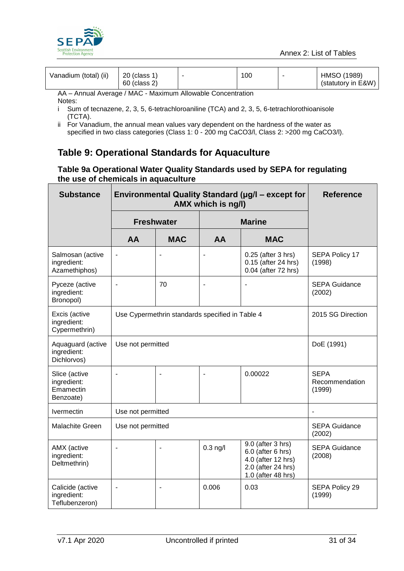

| Vanadium (total) (ii)                                       | 20 (class 1)<br>60 (class 2) | ۰ | 100 |  | HMSO (1989)<br>(statutory in E&W) |  |
|-------------------------------------------------------------|------------------------------|---|-----|--|-----------------------------------|--|
| AA - Annual Average / MAC - Maximum Allowable Concentration |                              |   |     |  |                                   |  |

Notes:

- i Sum of tecnazene, 2, 3, 5, 6-tetrachloroaniline (TCA) and 2, 3, 5, 6-tetrachlorothioanisole (TCTA).
- ii For Vanadium, the annual mean values vary dependent on the hardness of the water as specified in two class categories (Class 1: 0 - 200 mg CaCO3/l, Class 2: >200 mg CaCO3/l).

### <span id="page-30-0"></span>**Table 9: Operational Standards for Aquaculture**

#### **Table 9a Operational Water Quality Standards used by SEPA for regulating the use of chemicals in aquaculture**

| <b>Substance</b>                                       | Environmental Quality Standard (µg/l - except for | <b>Reference</b>               |                |                                                                                                          |                                         |
|--------------------------------------------------------|---------------------------------------------------|--------------------------------|----------------|----------------------------------------------------------------------------------------------------------|-----------------------------------------|
|                                                        | <b>Freshwater</b>                                 |                                |                | <b>Marine</b>                                                                                            |                                         |
|                                                        | AA                                                | <b>MAC</b>                     | AA             | <b>MAC</b>                                                                                               |                                         |
| Salmosan (active<br>ingredient:<br>Azamethiphos)       |                                                   |                                |                | 0.25 (after 3 hrs)<br>0.15 (after 24 hrs)<br>0.04 (after 72 hrs)                                         | SEPA Policy 17<br>(1998)                |
| Pyceze (active<br>ingredient:<br>Bronopol)             | $\blacksquare$                                    | 70                             |                |                                                                                                          | <b>SEPA Guidance</b><br>(2002)          |
| Excis (active<br>ingredient:<br>Cypermethrin)          | Use Cypermethrin standards specified in Table 4   | 2015 SG Direction              |                |                                                                                                          |                                         |
| Aquaguard (active<br>ingredient:<br>Dichlorvos)        | Use not permitted                                 | DoE (1991)                     |                |                                                                                                          |                                         |
| Slice (active<br>ingredient:<br>Emamectin<br>Benzoate) | $\blacksquare$                                    | $\blacksquare$                 | $\blacksquare$ | 0.00022                                                                                                  | <b>SEPA</b><br>Recommendation<br>(1999) |
| <b>Ivermectin</b>                                      | Use not permitted                                 | $\overline{\phantom{a}}$       |                |                                                                                                          |                                         |
| <b>Malachite Green</b>                                 | Use not permitted                                 | <b>SEPA Guidance</b><br>(2002) |                |                                                                                                          |                                         |
| AMX (active<br>ingredient:<br>Deltmethrin)             | $\blacksquare$                                    | $\blacksquare$                 | $0.3$ ng/l     | 9.0 (after 3 hrs)<br>6.0 (after 6 hrs)<br>4.0 (after 12 hrs)<br>2.0 (after 24 hrs)<br>1.0 (after 48 hrs) | <b>SEPA Guidance</b><br>(2008)          |
| Calicide (active<br>ingredient:<br>Teflubenzeron)      | ÷,                                                |                                | 0.006          | 0.03                                                                                                     | SEPA Policy 29<br>(1999)                |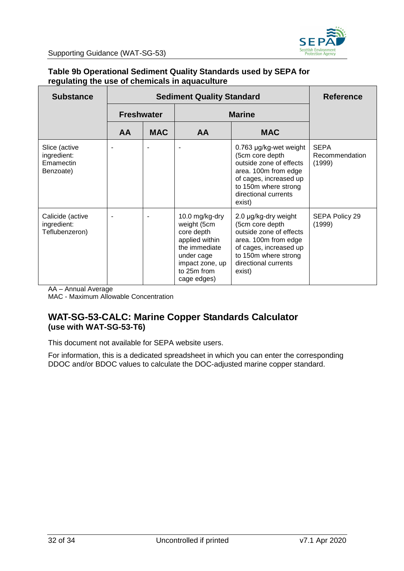

#### **Table 9b Operational Sediment Quality Standards used by SEPA for regulating the use of chemicals in aquaculture**

| <b>Substance</b>                                       |    | <b>Reference</b>  |                                                                                                                                               |                                                                                                                                                                                  |                                         |
|--------------------------------------------------------|----|-------------------|-----------------------------------------------------------------------------------------------------------------------------------------------|----------------------------------------------------------------------------------------------------------------------------------------------------------------------------------|-----------------------------------------|
|                                                        |    | <b>Freshwater</b> |                                                                                                                                               | <b>Marine</b>                                                                                                                                                                    |                                         |
|                                                        | AA | <b>MAC</b>        | AA                                                                                                                                            | <b>MAC</b>                                                                                                                                                                       |                                         |
| Slice (active<br>ingredient:<br>Emamectin<br>Benzoate) |    |                   |                                                                                                                                               | 0.763 µg/kg-wet weight<br>(5cm core depth<br>outside zone of effects<br>area. 100m from edge<br>of cages, increased up<br>to 150m where strong<br>directional currents<br>exist) | <b>SEPA</b><br>Recommendation<br>(1999) |
| Calicide (active<br>ingredient:<br>Teflubenzeron)      |    |                   | 10.0 mg/kg-dry<br>weight (5cm<br>core depth<br>applied within<br>the immediate<br>under cage<br>impact zone, up<br>to 25m from<br>cage edges) | 2.0 µg/kg-dry weight<br>(5cm core depth<br>outside zone of effects<br>area. 100m from edge<br>of cages, increased up<br>to 150m where strong<br>directional currents<br>exist)   | SEPA Policy 29<br>(1999)                |

AA – Annual Average MAC - Maximum Allowable Concentration

#### **WAT-SG-53-CALC: Marine Copper Standards Calculator (use with WAT-SG-53-T6)**

This document not available for SEPA website users.

For information, this is a dedicated spreadsheet in which you can enter the corresponding DDOC and/or BDOC values to calculate the DOC-adjusted marine copper standard.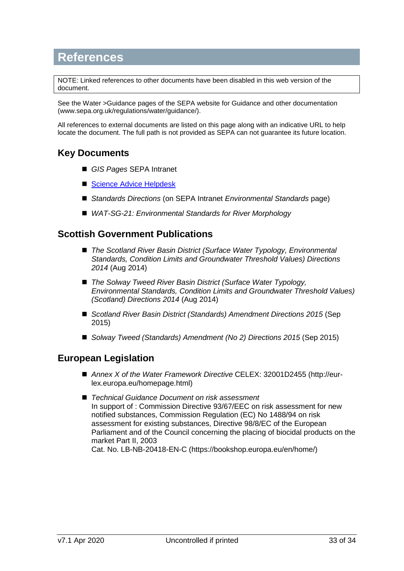## <span id="page-32-0"></span>**References**

NOTE: Linked references to other documents have been disabled in this web version of the document.

See the [Water >Guidance](file://///stir-fp-01/central/Projects/Information%20Systems/DocumentationLinks/StyleGuide&TemplateDocs/DocTemplates/Water%20%3eGuidance) pages of the SEPA website for Guidance and other documentation (www.sepa.org.uk/regulations/water/guidance/).

All references to external documents are listed on this page along with an indicative URL to help locate the document. The full path is not provided as SEPA can not guarantee its future location.

#### **Key Documents**

- *[GIS Pages](http://sepa-app-gis01/interactivemap/map.htm)* SEPA Intranet
- [Science Advice Helpdesk](mailto:science.advice@sepa.org.uk?subject=Env%20Standards%20query)
- *[Standards Directions](http://intranet/regulatory-services/national-regulatory-services/river-basin-management-planning/supporting-information/environmental-standards/)* (on SEPA Intranet *Environmental Standards* page)
- *[WAT-SG-21: Environmental Standards for River Morphology](http://stir-app-qpl01/QPulseDocumentService/Documents.svc/documents/active/attachment?number=WAT-SG-21)*

#### **Scottish Government Publications**

- The Scotland River Basin District (Surface Water Typology, Environmental *[Standards, Condition Limits and Groundwater Threshold Values\) Directions](http://www.gov.scot/Publications/2014/08/6532)  [2014](http://www.gov.scot/Publications/2014/08/6532)* (Aug 2014)
- *The Solway Tweed River Basin District (Surface Water Typology, [Environmental Standards, Condition Limits and Groundwater Threshold Values\)](http://www.gov.scot/Publications/2014/08/7219)  [\(Scotland\) Directions 2014](http://www.gov.scot/Publications/2014/08/7219)* (Aug 2014)
- *[Scotland River Basin District \(Standards\) Amendment Directions 2015](http://www.gov.scot/Publications/2015/09/5076)* (Sep 2015)
- *[Solway Tweed \(Standards\) Amendment \(No 2\) Directions 2015](https://www.gov.scot/publications/solway-tweed-river-basin-district-standards-scotland-amendment-2-directions/)* (Sep 2015)

#### **European Legislation**

- *[Annex X of the Water Framework](http://eur-lex.europa.eu/legal-content/EN/TXT/?uri=CELEX:32001D2455) Directive* CELEX: 32001D2455 (http://eurlex.europa.eu/homepage.html)
- *[Technical Guidance Document on risk assessment](https://echa.europa.eu/documents/10162/16960216/tgdpart1_2ed_en.pdf)* In support of : Commission Directive 93/67/EEC on risk assessment for new notified substances, Commission Regulation (EC) No 1488/94 on risk assessment for existing substances, Directive 98/8/EC of the European Parliament and of the Council concerning the placing of biocidal products on the market Part II, 2003

Cat. No. LB-NB-20418-EN-C (https://bookshop.europa.eu/en/home/)